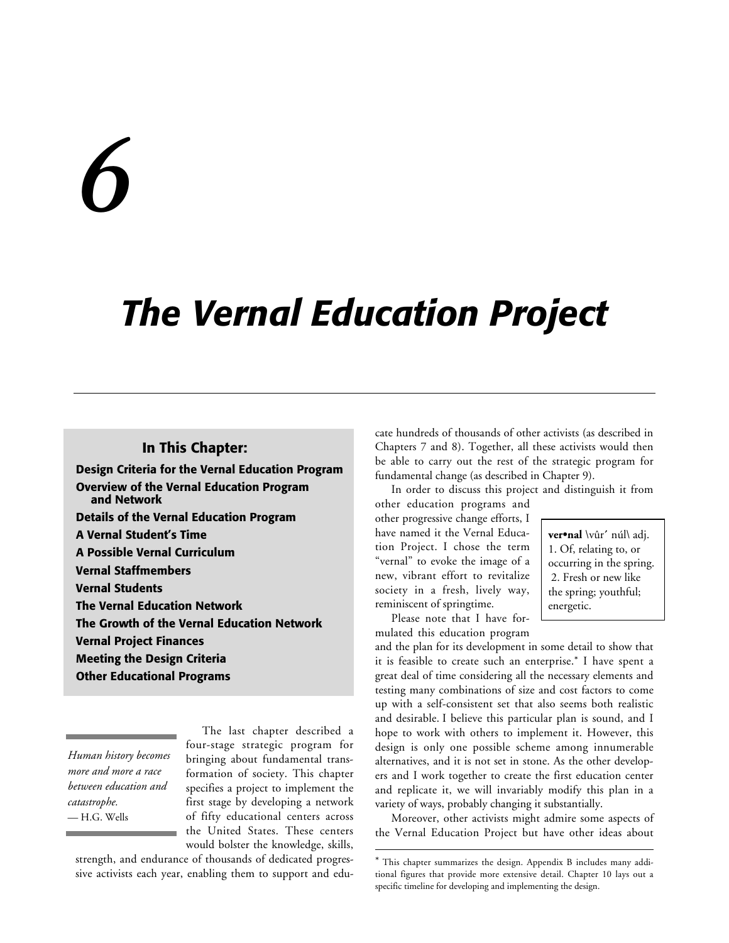# *6*

# *The Vernal Education Project*

l

#### **In This Chapter:**

**Design Criteria for the Vernal Education Program Overview of the Vernal Education Program and Network Details of the Vernal Education Program A Vernal Student's Time A Possible Vernal Curriculum Vernal Staffmembers Vernal Students The Vernal Education Network The Growth of the Vernal Education Network Vernal Project Finances Meeting the Design Criteria Other Educational Programs**

*Human history becomes more and more a race between education and catastrophe.* — H.G. Wells

The last chapter described a four-stage strategic program for bringing about fundamental transformation of society. This chapter specifies a project to implement the first stage by developing a network of fifty educational centers across the United States. These centers would bolster the knowledge, skills,

strength, and endurance of thousands of dedicated progressive activists each year, enabling them to support and educate hundreds of thousands of other activists (as described in Chapters 7 and 8). Together, all these activists would then be able to carry out the rest of the strategic program for fundamental change (as described in Chapter 9).

In order to discuss this project and distinguish it from

other education programs and other progressive change efforts, I have named it the Vernal Education Project. I chose the term "vernal" to evoke the image of a new, vibrant effort to revitalize society in a fresh, lively way, reminiscent of springtime.

Please note that I have formulated this education program **ver•nal** \vûr**´** núl\ adj. 1. Of, relating to, or occurring in the spring. 2. Fresh or new like the spring; youthful; energetic.

and the plan for its development in some detail to show that it is feasible to create such an enterprise.\* I have spent a great deal of time considering all the necessary elements and testing many combinations of size and cost factors to come up with a self-consistent set that also seems both realistic and desirable. I believe this particular plan is sound, and I hope to work with others to implement it. However, this design is only one possible scheme among innumerable alternatives, and it is not set in stone. As the other developers and I work together to create the first education center and replicate it, we will invariably modify this plan in a variety of ways, probably changing it substantially.

Moreover, other activists might admire some aspects of the Vernal Education Project but have other ideas about

<sup>\*</sup> This chapter summarizes the design. Appendix B includes many additional figures that provide more extensive detail. Chapter 10 lays out a specific timeline for developing and implementing the design.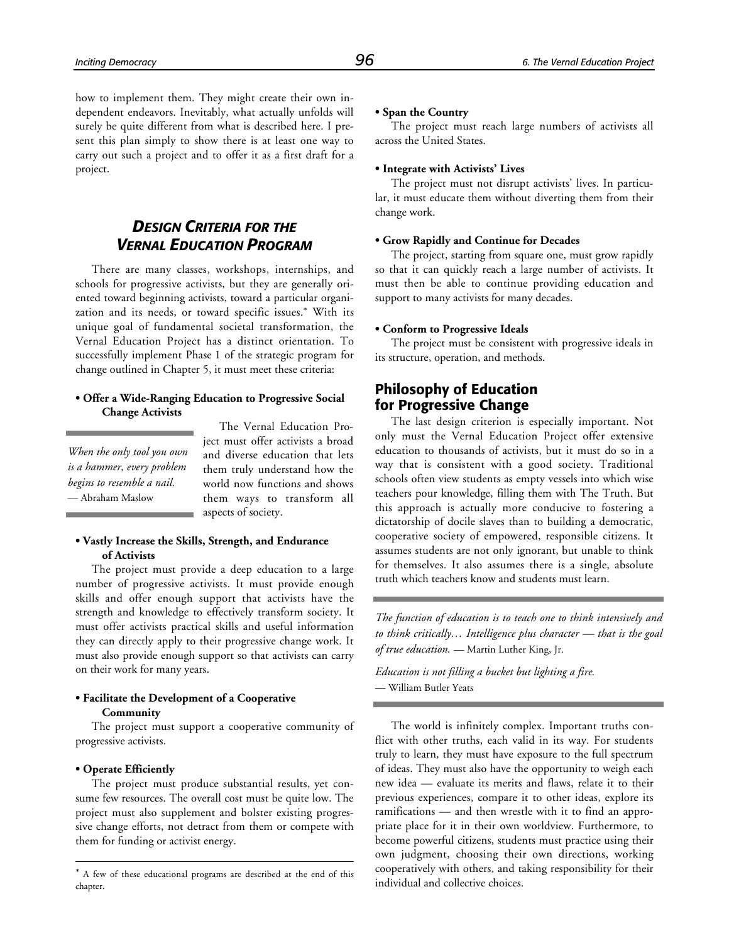how to implement them. They might create their own independent endeavors. Inevitably, what actually unfolds will surely be quite different from what is described here. I present this plan simply to show there is at least one way to carry out such a project and to offer it as a first draft for a project.

## *DESIGN CRITERIA FOR THE VERNAL EDUCATION PROGRAM*

There are many classes, workshops, internships, and schools for progressive activists, but they are generally oriented toward beginning activists, toward a particular organization and its needs, or toward specific issues.\* With its unique goal of fundamental societal transformation, the Vernal Education Project has a distinct orientation. To successfully implement Phase 1 of the strategic program for change outlined in Chapter 5, it must meet these criteria:

#### **• Offer a Wide-Ranging Education to Progressive Social Change Activists**

*When the only tool you own is a hammer, every problem begins to resemble a nail.* — Abraham Maslow

The Vernal Education Project must offer activists a broad and diverse education that lets them truly understand how the world now functions and shows them ways to transform all aspects of society.

#### **• Vastly Increase the Skills, Strength, and Endurance of Activists**

The project must provide a deep education to a large number of progressive activists. It must provide enough skills and offer enough support that activists have the strength and knowledge to effectively transform society. It must offer activists practical skills and useful information they can directly apply to their progressive change work. It must also provide enough support so that activists can carry on their work for many years.

#### **• Facilitate the Development of a Cooperative Community**

The project must support a cooperative community of progressive activists.

#### **• Operate Efficiently**

1

The project must produce substantial results, yet consume few resources. The overall cost must be quite low. The project must also supplement and bolster existing progressive change efforts, not detract from them or compete with them for funding or activist energy.

#### **• Span the Country**

The project must reach large numbers of activists all across the United States.

#### **• Integrate with Activists' Lives**

The project must not disrupt activists' lives. In particular, it must educate them without diverting them from their change work.

#### **• Grow Rapidly and Continue for Decades**

The project, starting from square one, must grow rapidly so that it can quickly reach a large number of activists. It must then be able to continue providing education and support to many activists for many decades.

#### **• Conform to Progressive Ideals**

The project must be consistent with progressive ideals in its structure, operation, and methods.

## **Philosophy of Education for Progressive Change**

The last design criterion is especially important. Not only must the Vernal Education Project offer extensive education to thousands of activists, but it must do so in a way that is consistent with a good society. Traditional schools often view students as empty vessels into which wise teachers pour knowledge, filling them with The Truth. But this approach is actually more conducive to fostering a dictatorship of docile slaves than to building a democratic, cooperative society of empowered, responsible citizens. It assumes students are not only ignorant, but unable to think for themselves. It also assumes there is a single, absolute truth which teachers know and students must learn.

*The function of education is to teach one to think intensively and to think critically… Intelligence plus character — that is the goal of true education.* — Martin Luther King, Jr.

*Education is not filling a bucket but lighting a fire.* — William Butler Yeats

The world is infinitely complex. Important truths conflict with other truths, each valid in its way. For students truly to learn, they must have exposure to the full spectrum of ideas. They must also have the opportunity to weigh each new idea — evaluate its merits and flaws, relate it to their previous experiences, compare it to other ideas, explore its ramifications — and then wrestle with it to find an appropriate place for it in their own worldview. Furthermore, to become powerful citizens, students must practice using their own judgment, choosing their own directions, working cooperatively with others, and taking responsibility for their individual and collective choices.

<sup>\*</sup> A few of these educational programs are described at the end of this chapter.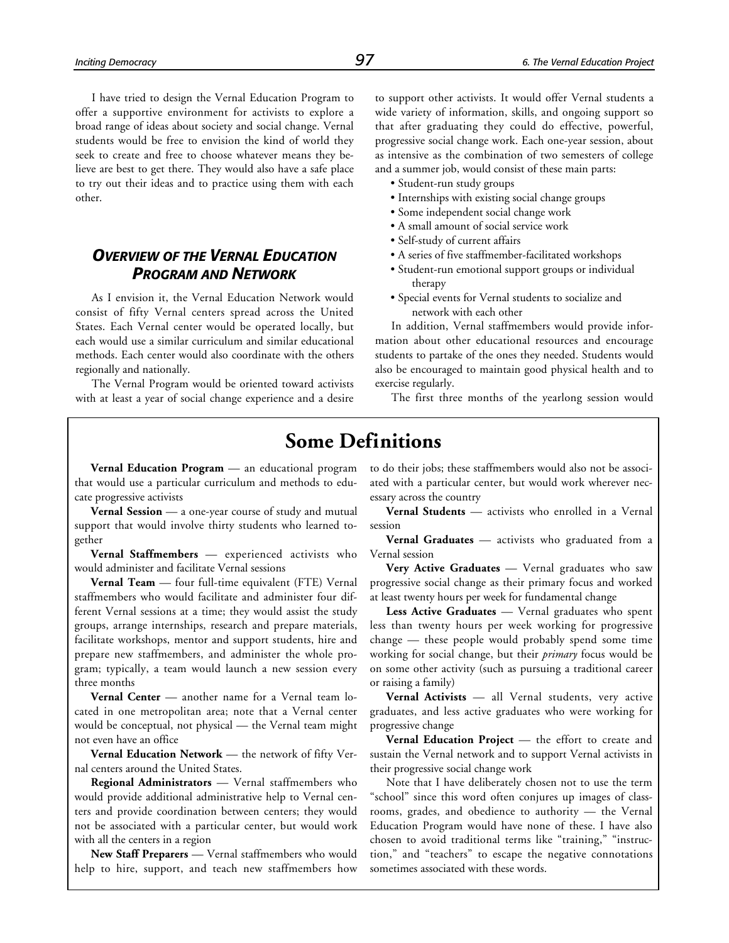I have tried to design the Vernal Education Program to offer a supportive environment for activists to explore a broad range of ideas about society and social change. Vernal students would be free to envision the kind of world they seek to create and free to choose whatever means they believe are best to get there. They would also have a safe place to try out their ideas and to practice using them with each other.

## *OVERVIEW OF THE VERNAL EDUCATION PROGRAM AND NETWORK*

As I envision it, the Vernal Education Network would consist of fifty Vernal centers spread across the United States. Each Vernal center would be operated locally, but each would use a similar curriculum and similar educational methods. Each center would also coordinate with the others regionally and nationally.

The Vernal Program would be oriented toward activists with at least a year of social change experience and a desire to support other activists. It would offer Vernal students a wide variety of information, skills, and ongoing support so that after graduating they could do effective, powerful, progressive social change work. Each one-year session, about as intensive as the combination of two semesters of college and a summer job, would consist of these main parts:

- Student-run study groups
- Internships with existing social change groups
- Some independent social change work
- A small amount of social service work
- Self-study of current affairs
- A series of five staffmember-facilitated workshops
- Student-run emotional support groups or individual therapy
- Special events for Vernal students to socialize and network with each other

In addition, Vernal staffmembers would provide information about other educational resources and encourage students to partake of the ones they needed. Students would also be encouraged to maintain good physical health and to exercise regularly.

The first three months of the yearlong session would

## **Some Definitions**

**Vernal Education Program** — an educational program that would use a particular curriculum and methods to educate progressive activists

**Vernal Session** — a one-year course of study and mutual support that would involve thirty students who learned together

**Vernal Staffmembers** — experienced activists who would administer and facilitate Vernal sessions

**Vernal Team** — four full-time equivalent (FTE) Vernal staffmembers who would facilitate and administer four different Vernal sessions at a time; they would assist the study groups, arrange internships, research and prepare materials, facilitate workshops, mentor and support students, hire and prepare new staffmembers, and administer the whole program; typically, a team would launch a new session every three months

**Vernal Center** — another name for a Vernal team located in one metropolitan area; note that a Vernal center would be conceptual, not physical — the Vernal team might not even have an office

**Vernal Education Network** — the network of fifty Vernal centers around the United States.

**Regional Administrators** — Vernal staffmembers who would provide additional administrative help to Vernal centers and provide coordination between centers; they would not be associated with a particular center, but would work with all the centers in a region

**New Staff Preparers** — Vernal staffmembers who would help to hire, support, and teach new staffmembers how to do their jobs; these staffmembers would also not be associated with a particular center, but would work wherever necessary across the country

**Vernal Students** — activists who enrolled in a Vernal session

**Vernal Graduates** — activists who graduated from a Vernal session

**Very Active Graduates** — Vernal graduates who saw progressive social change as their primary focus and worked at least twenty hours per week for fundamental change

**Less Active Graduates** — Vernal graduates who spent less than twenty hours per week working for progressive change — these people would probably spend some time working for social change, but their *primary* focus would be on some other activity (such as pursuing a traditional career or raising a family)

**Vernal Activists** — all Vernal students, very active graduates, and less active graduates who were working for progressive change

**Vernal Education Project** — the effort to create and sustain the Vernal network and to support Vernal activists in their progressive social change work

Note that I have deliberately chosen not to use the term "school" since this word often conjures up images of classrooms, grades, and obedience to authority — the Vernal Education Program would have none of these. I have also chosen to avoid traditional terms like "training," "instruction," and "teachers" to escape the negative connotations sometimes associated with these words.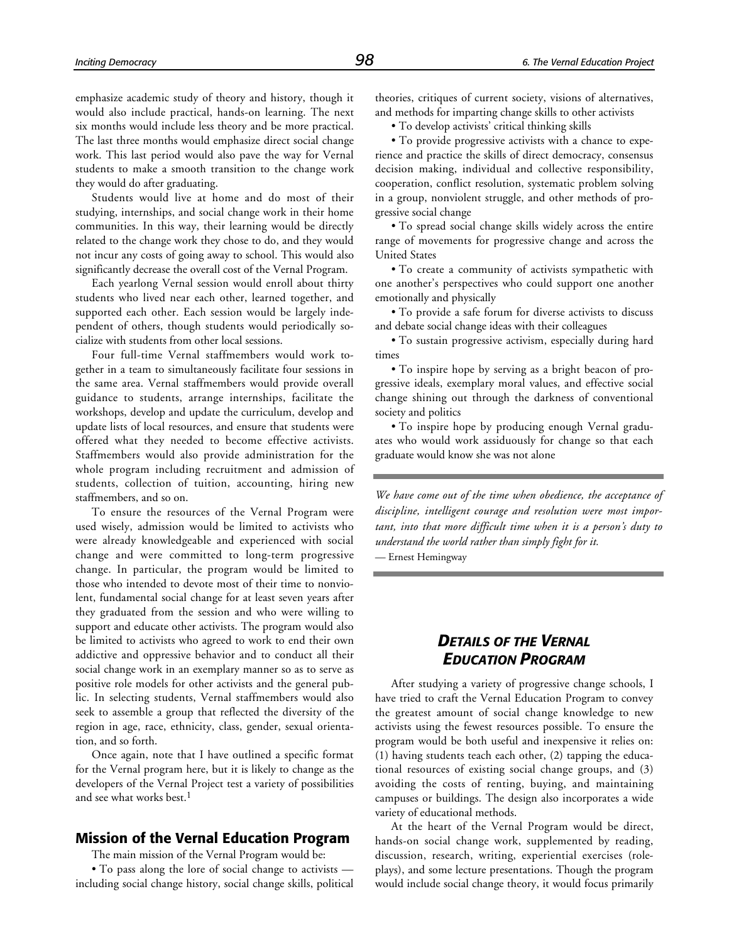emphasize academic study of theory and history, though it would also include practical, hands-on learning. The next six months would include less theory and be more practical. The last three months would emphasize direct social change work. This last period would also pave the way for Vernal students to make a smooth transition to the change work they would do after graduating.

Students would live at home and do most of their studying, internships, and social change work in their home communities. In this way, their learning would be directly related to the change work they chose to do, and they would not incur any costs of going away to school. This would also significantly decrease the overall cost of the Vernal Program.

Each yearlong Vernal session would enroll about thirty students who lived near each other, learned together, and supported each other. Each session would be largely independent of others, though students would periodically socialize with students from other local sessions.

Four full-time Vernal staffmembers would work together in a team to simultaneously facilitate four sessions in the same area. Vernal staffmembers would provide overall guidance to students, arrange internships, facilitate the workshops, develop and update the curriculum, develop and update lists of local resources, and ensure that students were offered what they needed to become effective activists. Staffmembers would also provide administration for the whole program including recruitment and admission of students, collection of tuition, accounting, hiring new staffmembers, and so on.

To ensure the resources of the Vernal Program were used wisely, admission would be limited to activists who were already knowledgeable and experienced with social change and were committed to long-term progressive change. In particular, the program would be limited to those who intended to devote most of their time to nonviolent, fundamental social change for at least seven years after they graduated from the session and who were willing to support and educate other activists. The program would also be limited to activists who agreed to work to end their own addictive and oppressive behavior and to conduct all their social change work in an exemplary manner so as to serve as positive role models for other activists and the general public. In selecting students, Vernal staffmembers would also seek to assemble a group that reflected the diversity of the region in age, race, ethnicity, class, gender, sexual orientation, and so forth.

Once again, note that I have outlined a specific format for the Vernal program here, but it is likely to change as the developers of the Vernal Project test a variety of possibilities and see what works best.<sup>1</sup>

## **Mission of the Vernal Education Program**

The main mission of the Vernal Program would be:

• To pass along the lore of social change to activists including social change history, social change skills, political theories, critiques of current society, visions of alternatives, and methods for imparting change skills to other activists

• To develop activists' critical thinking skills

• To provide progressive activists with a chance to experience and practice the skills of direct democracy, consensus decision making, individual and collective responsibility, cooperation, conflict resolution, systematic problem solving in a group, nonviolent struggle, and other methods of progressive social change

• To spread social change skills widely across the entire range of movements for progressive change and across the United States

• To create a community of activists sympathetic with one another's perspectives who could support one another emotionally and physically

• To provide a safe forum for diverse activists to discuss and debate social change ideas with their colleagues

• To sustain progressive activism, especially during hard times

• To inspire hope by serving as a bright beacon of progressive ideals, exemplary moral values, and effective social change shining out through the darkness of conventional society and politics

• To inspire hope by producing enough Vernal graduates who would work assiduously for change so that each graduate would know she was not alone

*We have come out of the time when obedience, the acceptance of discipline, intelligent courage and resolution were most important, into that more difficult time when it is a person's duty to understand the world rather than simply fight for it.*

— Ernest Hemingway

## *DETAILS OF THE VERNAL EDUCATION PROGRAM*

After studying a variety of progressive change schools, I have tried to craft the Vernal Education Program to convey the greatest amount of social change knowledge to new activists using the fewest resources possible. To ensure the program would be both useful and inexpensive it relies on: (1) having students teach each other, (2) tapping the educational resources of existing social change groups, and (3) avoiding the costs of renting, buying, and maintaining campuses or buildings. The design also incorporates a wide variety of educational methods.

At the heart of the Vernal Program would be direct, hands-on social change work, supplemented by reading, discussion, research, writing, experiential exercises (roleplays), and some lecture presentations. Though the program would include social change theory, it would focus primarily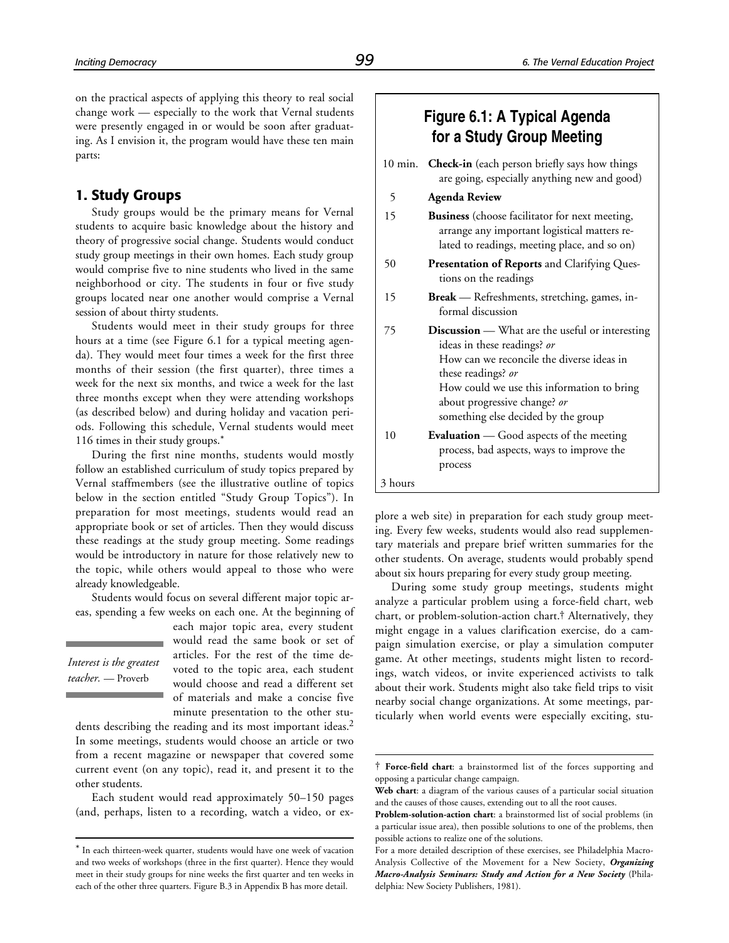on the practical aspects of applying this theory to real social change work — especially to the work that Vernal students were presently engaged in or would be soon after graduating. As I envision it, the program would have these ten main parts:

#### **1. Study Groups**

Study groups would be the primary means for Vernal students to acquire basic knowledge about the history and theory of progressive social change. Students would conduct study group meetings in their own homes. Each study group would comprise five to nine students who lived in the same neighborhood or city. The students in four or five study groups located near one another would comprise a Vernal session of about thirty students.

Students would meet in their study groups for three hours at a time (see Figure 6.1 for a typical meeting agenda). They would meet four times a week for the first three months of their session (the first quarter), three times a week for the next six months, and twice a week for the last three months except when they were attending workshops (as described below) and during holiday and vacation periods. Following this schedule, Vernal students would meet 116 times in their study groups.\*

During the first nine months, students would mostly follow an established curriculum of study topics prepared by Vernal staffmembers (see the illustrative outline of topics below in the section entitled "Study Group Topics"). In preparation for most meetings, students would read an appropriate book or set of articles. Then they would discuss these readings at the study group meeting. Some readings would be introductory in nature for those relatively new to the topic, while others would appeal to those who were already knowledgeable.

Students would focus on several different major topic areas, spending a few weeks on each one. At the beginning of

*Interest is the greatest teacher.* — Proverb

1

each major topic area, every student would read the same book or set of articles. For the rest of the time devoted to the topic area, each student would choose and read a different set of materials and make a concise five minute presentation to the other stu-

l

dents describing the reading and its most important ideas.<sup>2</sup> In some meetings, students would choose an article or two from a recent magazine or newspaper that covered some current event (on any topic), read it, and present it to the other students.

Each student would read approximately 50–150 pages (and, perhaps, listen to a recording, watch a video, or ex-

## **Figure 6.1: A Typical Agenda for a Study Group Meeting**

|         | 10 min. Check-in (each person briefly says how things<br>are going, especially anything new and good)                                                                                                                                                                         |
|---------|-------------------------------------------------------------------------------------------------------------------------------------------------------------------------------------------------------------------------------------------------------------------------------|
| 5       | <b>Agenda Review</b>                                                                                                                                                                                                                                                          |
| 15      | <b>Business</b> (choose facilitator for next meeting,<br>arrange any important logistical matters re-<br>lated to readings, meeting place, and so on)                                                                                                                         |
| 50      | <b>Presentation of Reports</b> and Clarifying Ques-<br>tions on the readings                                                                                                                                                                                                  |
| 15      | <b>Break</b> — Refreshments, stretching, games, in-<br>formal discussion                                                                                                                                                                                                      |
| 75      | <b>Discussion</b> — What are the useful or interesting<br>ideas in these readings? or<br>How can we reconcile the diverse ideas in<br>these readings? or<br>How could we use this information to bring<br>about progressive change? or<br>something else decided by the group |
| 10      | <b>Evaluation</b> — Good aspects of the meeting<br>process, bad aspects, ways to improve the<br>process                                                                                                                                                                       |
| 3 hours |                                                                                                                                                                                                                                                                               |

plore a web site) in preparation for each study group meeting. Every few weeks, students would also read supplementary materials and prepare brief written summaries for the other students. On average, students would probably spend about six hours preparing for every study group meeting.

During some study group meetings, students might analyze a particular problem using a force-field chart, web chart, or problem-solution-action chart.† Alternatively, they might engage in a values clarification exercise, do a campaign simulation exercise, or play a simulation computer game. At other meetings, students might listen to recordings, watch videos, or invite experienced activists to talk about their work. Students might also take field trips to visit nearby social change organizations. At some meetings, particularly when world events were especially exciting, stu-

<sup>\*</sup> In each thirteen-week quarter, students would have one week of vacation and two weeks of workshops (three in the first quarter). Hence they would meet in their study groups for nine weeks the first quarter and ten weeks in each of the other three quarters. Figure B.3 in Appendix B has more detail.

<sup>†</sup> **Force-field chart**: a brainstormed list of the forces supporting and opposing a particular change campaign.

**Web chart**: a diagram of the various causes of a particular social situation and the causes of those causes, extending out to all the root causes.

**Problem-solution-action chart**: a brainstormed list of social problems (in a particular issue area), then possible solutions to one of the problems, then possible actions to realize one of the solutions.

For a more detailed description of these exercises, see Philadelphia Macro-Analysis Collective of the Movement for a New Society, *Organizing Macro-Analysis Seminars: Study and Action for a New Society* (Philadelphia: New Society Publishers, 1981).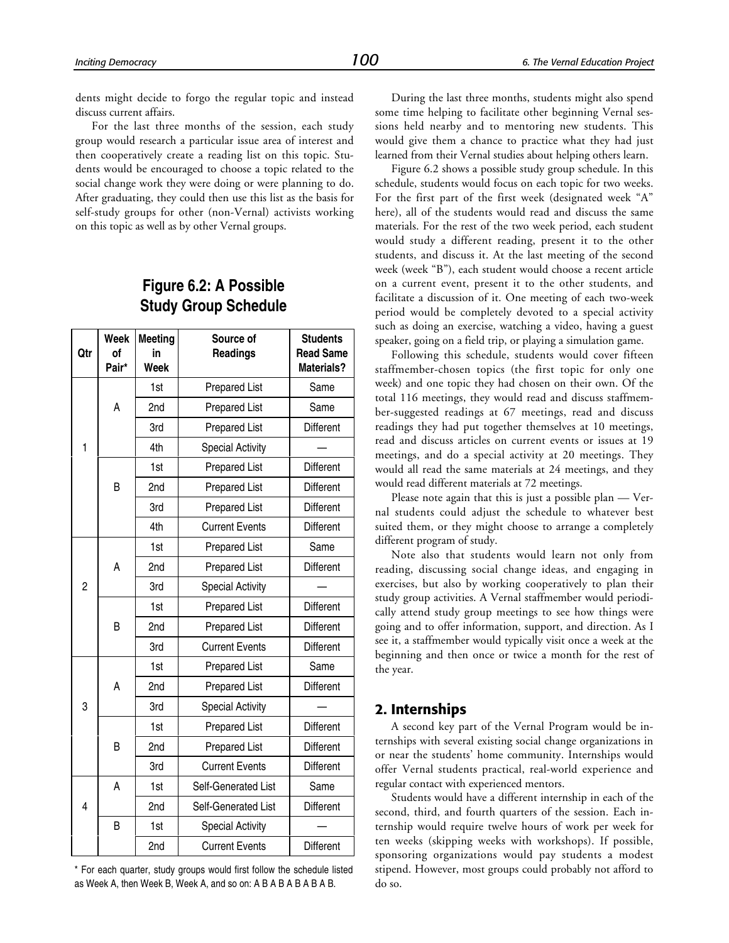dents might decide to forgo the regular topic and instead discuss current affairs.

For the last three months of the session, each study group would research a particular issue area of interest and then cooperatively create a reading list on this topic. Students would be encouraged to choose a topic related to the social change work they were doing or were planning to do. After graduating, they could then use this list as the basis for self-study groups for other (non-Vernal) activists working on this topic as well as by other Vernal groups.

## **Figure 6.2: A Possible Study Group Schedule**

| Qtr            | Week<br>0f<br>Pair* | <b>Meeting</b><br>in<br>Week | Source of<br>Readings   | <b>Students</b><br><b>Read Same</b><br>Materials? |
|----------------|---------------------|------------------------------|-------------------------|---------------------------------------------------|
|                |                     | 1st                          | <b>Prepared List</b>    | Same                                              |
|                | A                   | 2nd                          | <b>Prepared List</b>    | Same                                              |
|                |                     | 3rd                          | <b>Prepared List</b>    | Different                                         |
| 1              |                     | 4th                          | <b>Special Activity</b> |                                                   |
|                |                     | 1st                          | <b>Prepared List</b>    | Different                                         |
|                | B                   | 2nd                          | <b>Prepared List</b>    | Different                                         |
|                |                     | 3rd                          | <b>Prepared List</b>    | Different                                         |
|                |                     | 4th                          | <b>Current Events</b>   | Different                                         |
|                |                     | 1st                          | <b>Prepared List</b>    | Same                                              |
|                | A                   | 2nd                          | <b>Prepared List</b>    | Different                                         |
| $\overline{c}$ |                     | 3rd                          | <b>Special Activity</b> |                                                   |
|                |                     | 1st                          | <b>Prepared List</b>    | Different                                         |
|                | B                   | 2nd                          | <b>Prepared List</b>    | Different                                         |
|                |                     | 3rd                          | <b>Current Events</b>   | Different                                         |
|                |                     | 1st                          | <b>Prepared List</b>    | Same                                              |
|                | A                   | 2nd                          | <b>Prepared List</b>    | Different                                         |
| 3              |                     | 3rd                          | <b>Special Activity</b> |                                                   |
|                |                     | 1st                          | <b>Prepared List</b>    | Different                                         |
|                | B                   | 2nd                          | <b>Prepared List</b>    | Different                                         |
|                |                     | 3rd                          | <b>Current Events</b>   | Different                                         |
|                | A                   | 1st                          | Self-Generated List     | Same                                              |
| $\overline{4}$ |                     | 2nd                          | Self-Generated List     | Different                                         |
|                | B                   | 1st                          | <b>Special Activity</b> |                                                   |
|                |                     | 2nd                          | <b>Current Events</b>   | Different                                         |

\* For each quarter, study groups would first follow the schedule listed as Week A, then Week B, Week A, and so on: A B A B A B A B A B.

During the last three months, students might also spend some time helping to facilitate other beginning Vernal sessions held nearby and to mentoring new students. This would give them a chance to practice what they had just learned from their Vernal studies about helping others learn.

Figure 6.2 shows a possible study group schedule. In this schedule, students would focus on each topic for two weeks. For the first part of the first week (designated week "A" here), all of the students would read and discuss the same materials. For the rest of the two week period, each student would study a different reading, present it to the other students, and discuss it. At the last meeting of the second week (week "B"), each student would choose a recent article on a current event, present it to the other students, and facilitate a discussion of it. One meeting of each two-week period would be completely devoted to a special activity such as doing an exercise, watching a video, having a guest speaker, going on a field trip, or playing a simulation game.

Following this schedule, students would cover fifteen staffmember-chosen topics (the first topic for only one week) and one topic they had chosen on their own. Of the total 116 meetings, they would read and discuss staffmember-suggested readings at 67 meetings, read and discuss readings they had put together themselves at 10 meetings, read and discuss articles on current events or issues at 19 meetings, and do a special activity at 20 meetings. They would all read the same materials at 24 meetings, and they would read different materials at 72 meetings.

Please note again that this is just a possible plan — Vernal students could adjust the schedule to whatever best suited them, or they might choose to arrange a completely different program of study.

Note also that students would learn not only from reading, discussing social change ideas, and engaging in exercises, but also by working cooperatively to plan their study group activities. A Vernal staffmember would periodically attend study group meetings to see how things were going and to offer information, support, and direction. As I see it, a staffmember would typically visit once a week at the beginning and then once or twice a month for the rest of the year.

#### **2. Internships**

A second key part of the Vernal Program would be internships with several existing social change organizations in or near the students' home community. Internships would offer Vernal students practical, real-world experience and regular contact with experienced mentors.

Students would have a different internship in each of the second, third, and fourth quarters of the session. Each internship would require twelve hours of work per week for ten weeks (skipping weeks with workshops). If possible, sponsoring organizations would pay students a modest stipend. However, most groups could probably not afford to do so.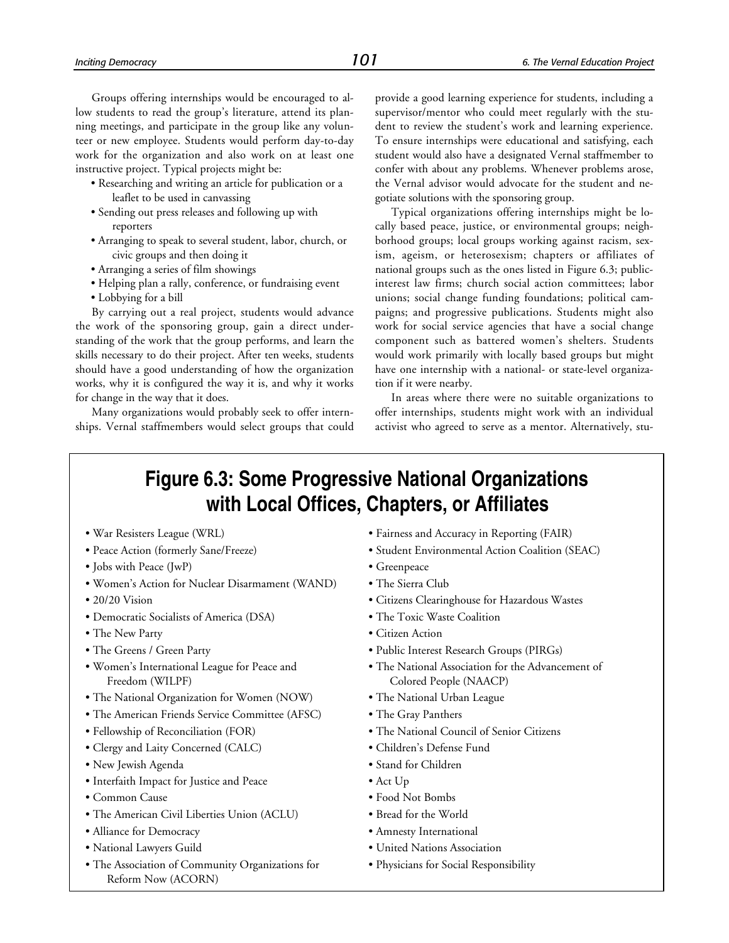Groups offering internships would be encouraged to allow students to read the group's literature, attend its planning meetings, and participate in the group like any volunteer or new employee. Students would perform day-to-day work for the organization and also work on at least one instructive project. Typical projects might be:

- Researching and writing an article for publication or a leaflet to be used in canvassing
- Sending out press releases and following up with reporters
- Arranging to speak to several student, labor, church, or civic groups and then doing it
- Arranging a series of film showings
- Helping plan a rally, conference, or fundraising event
- Lobbying for a bill

By carrying out a real project, students would advance the work of the sponsoring group, gain a direct understanding of the work that the group performs, and learn the skills necessary to do their project. After ten weeks, students should have a good understanding of how the organization works, why it is configured the way it is, and why it works for change in the way that it does.

Many organizations would probably seek to offer internships. Vernal staffmembers would select groups that could provide a good learning experience for students, including a supervisor/mentor who could meet regularly with the student to review the student's work and learning experience. To ensure internships were educational and satisfying, each student would also have a designated Vernal staffmember to confer with about any problems. Whenever problems arose, the Vernal advisor would advocate for the student and negotiate solutions with the sponsoring group.

Typical organizations offering internships might be locally based peace, justice, or environmental groups; neighborhood groups; local groups working against racism, sexism, ageism, or heterosexism; chapters or affiliates of national groups such as the ones listed in Figure 6.3; publicinterest law firms; church social action committees; labor unions; social change funding foundations; political campaigns; and progressive publications. Students might also work for social service agencies that have a social change component such as battered women's shelters. Students would work primarily with locally based groups but might have one internship with a national- or state-level organization if it were nearby.

In areas where there were no suitable organizations to offer internships, students might work with an individual activist who agreed to serve as a mentor. Alternatively, stu-

# **Figure 6.3: Some Progressive National Organizations with Local Offices, Chapters, or Affiliates**

- 
- 
- Jobs with Peace (JwP) Greenpeace
- Women's Action for Nuclear Disarmament (WAND) The Sierra Club
- 
- Democratic Socialists of America (DSA) The Toxic Waste Coalition
- 
- 
- Women's International League for Peace and Freedom (WILPF)
- The National Organization for Women (NOW) The National Urban League
- The American Friends Service Committee (AFSC) The Gray Panthers
- 
- Clergy and Laity Concerned (CALC) Children's Defense Fund
- New Jewish Agenda Stand for Children
- Interfaith Impact for Justice and Peace Act Up
- 
- The American Civil Liberties Union (ACLU) Bread for the World
- Alliance for Democracy Amnesty International
- 
- The Association of Community Organizations for Reform Now (ACORN)
- War Resisters League (WRL) Fairness and Accuracy in Reporting (FAIR)
- Peace Action (formerly Sane/Freeze) Student Environmental Action Coalition (SEAC)
	-
	-
- 20/20 Vision Citizens Clearinghouse for Hazardous Wastes
	-
- The New Party Citizen Action
- The Greens / Green Party Public Interest Research Groups (PIRGs)
	- The National Association for the Advancement of Colored People (NAACP)
	-
	-
- Fellowship of Reconciliation (FOR) The National Council of Senior Citizens
	-
	-
	-
- Common Cause Food Not Bombs
	-
	-
- National Lawyers Guild United Nations Association
	- Physicians for Social Responsibility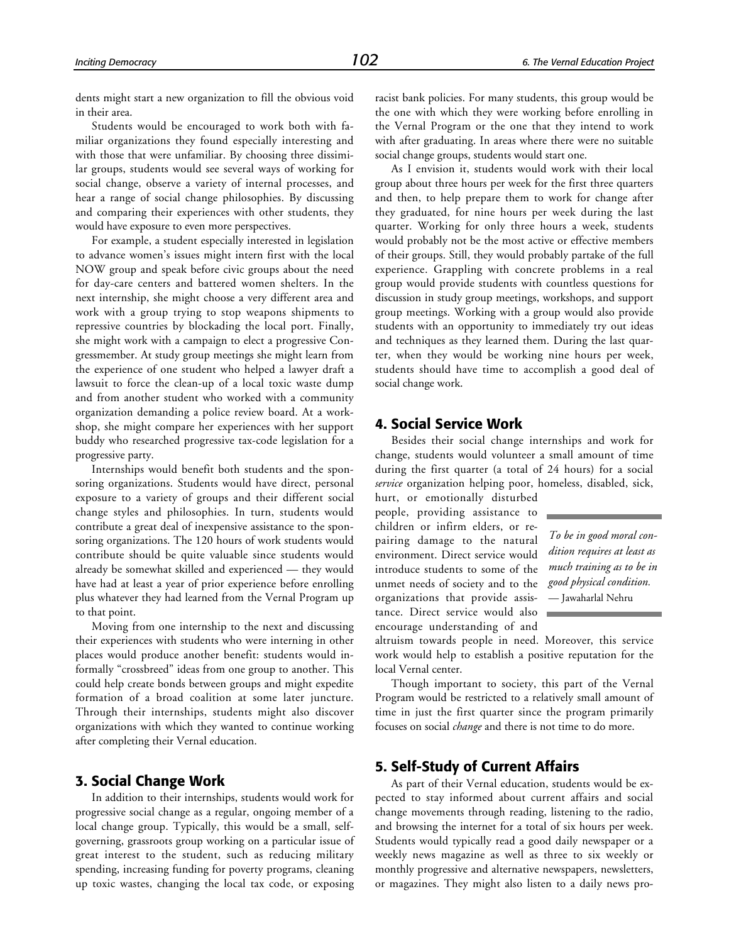dents might start a new organization to fill the obvious void in their area.

Students would be encouraged to work both with familiar organizations they found especially interesting and with those that were unfamiliar. By choosing three dissimilar groups, students would see several ways of working for social change, observe a variety of internal processes, and hear a range of social change philosophies. By discussing and comparing their experiences with other students, they would have exposure to even more perspectives.

For example, a student especially interested in legislation to advance women's issues might intern first with the local NOW group and speak before civic groups about the need for day-care centers and battered women shelters. In the next internship, she might choose a very different area and work with a group trying to stop weapons shipments to repressive countries by blockading the local port. Finally, she might work with a campaign to elect a progressive Congressmember. At study group meetings she might learn from the experience of one student who helped a lawyer draft a lawsuit to force the clean-up of a local toxic waste dump and from another student who worked with a community organization demanding a police review board. At a workshop, she might compare her experiences with her support buddy who researched progressive tax-code legislation for a progressive party.

Internships would benefit both students and the sponsoring organizations. Students would have direct, personal exposure to a variety of groups and their different social change styles and philosophies. In turn, students would contribute a great deal of inexpensive assistance to the sponsoring organizations. The 120 hours of work students would contribute should be quite valuable since students would already be somewhat skilled and experienced — they would have had at least a year of prior experience before enrolling plus whatever they had learned from the Vernal Program up to that point.

Moving from one internship to the next and discussing their experiences with students who were interning in other places would produce another benefit: students would informally "crossbreed" ideas from one group to another. This could help create bonds between groups and might expedite formation of a broad coalition at some later juncture. Through their internships, students might also discover organizations with which they wanted to continue working after completing their Vernal education.

#### **3. Social Change Work**

In addition to their internships, students would work for progressive social change as a regular, ongoing member of a local change group. Typically, this would be a small, selfgoverning, grassroots group working on a particular issue of great interest to the student, such as reducing military spending, increasing funding for poverty programs, cleaning up toxic wastes, changing the local tax code, or exposing

racist bank policies. For many students, this group would be the one with which they were working before enrolling in the Vernal Program or the one that they intend to work with after graduating. In areas where there were no suitable social change groups, students would start one.

As I envision it, students would work with their local group about three hours per week for the first three quarters and then, to help prepare them to work for change after they graduated, for nine hours per week during the last quarter. Working for only three hours a week, students would probably not be the most active or effective members of their groups. Still, they would probably partake of the full experience. Grappling with concrete problems in a real group would provide students with countless questions for discussion in study group meetings, workshops, and support group meetings. Working with a group would also provide students with an opportunity to immediately try out ideas and techniques as they learned them. During the last quarter, when they would be working nine hours per week, students should have time to accomplish a good deal of social change work.

#### **4. Social Service Work**

Besides their social change internships and work for change, students would volunteer a small amount of time during the first quarter (a total of 24 hours) for a social *service* organization helping poor, homeless, disabled, sick,

hurt, or emotionally disturbed people, providing assistance to children or infirm elders, or repairing damage to the natural environment. Direct service would introduce students to some of the unmet needs of society and to the organizations that provide assistance. Direct service would also encourage understanding of and

*To be in good moral condition requires at least as much training as to be in good physical condition.* — Jawaharlal Nehru

altruism towards people in need. Moreover, this service work would help to establish a positive reputation for the local Vernal center.

Though important to society, this part of the Vernal Program would be restricted to a relatively small amount of time in just the first quarter since the program primarily focuses on social *change* and there is not time to do more.

#### **5. Self-Study of Current Affairs**

As part of their Vernal education, students would be expected to stay informed about current affairs and social change movements through reading, listening to the radio, and browsing the internet for a total of six hours per week. Students would typically read a good daily newspaper or a weekly news magazine as well as three to six weekly or monthly progressive and alternative newspapers, newsletters, or magazines. They might also listen to a daily news pro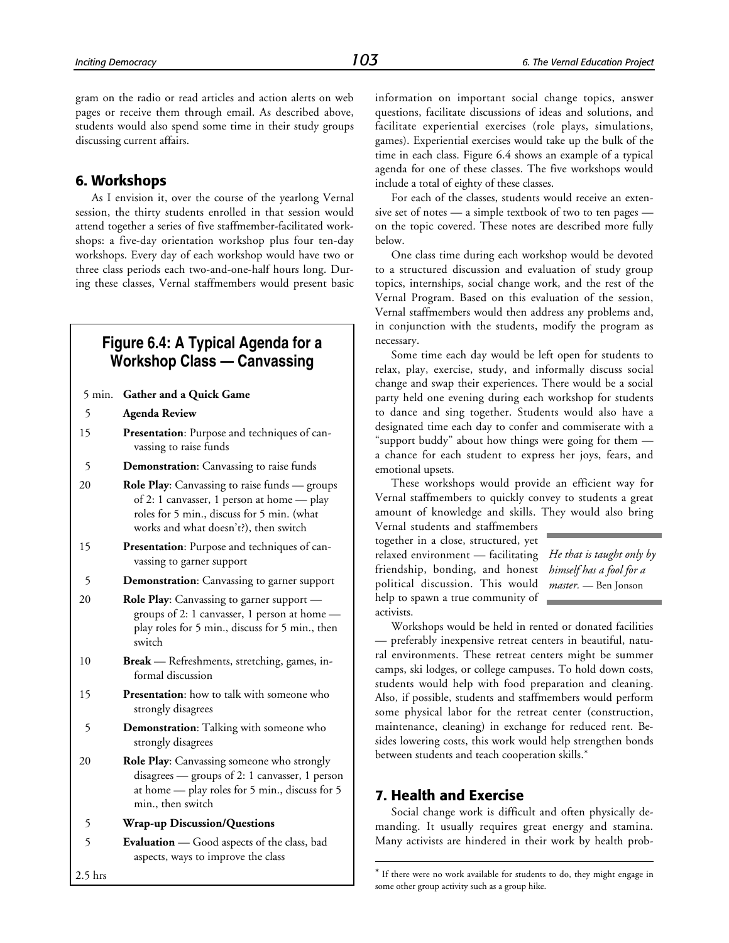gram on the radio or read articles and action alerts on web pages or receive them through email. As described above, students would also spend some time in their study groups discussing current affairs.

#### **6. Workshops**

As I envision it, over the course of the yearlong Vernal session, the thirty students enrolled in that session would attend together a series of five staffmember-facilitated workshops: a five-day orientation workshop plus four ten-day workshops. Every day of each workshop would have two or three class periods each two-and-one-half hours long. During these classes, Vernal staffmembers would present basic

## **Figure 6.4: A Typical Agenda for a Workshop Class — Canvassing**

|  | 5 min. Gather and a Quick Game |  |  |  |
|--|--------------------------------|--|--|--|
|--|--------------------------------|--|--|--|

- 5 **Agenda Review**
- 15 **Presentation**: Purpose and techniques of canvassing to raise funds
- 5 **Demonstration**: Canvassing to raise funds
- 20 **Role Play**: Canvassing to raise funds groups of 2: 1 canvasser, 1 person at home — play roles for 5 min., discuss for 5 min. (what works and what doesn't?), then switch
- 15 **Presentation**: Purpose and techniques of canvassing to garner support
- 5 **Demonstration**: Canvassing to garner support
- 20 **Role Play**: Canvassing to garner support groups of 2: 1 canvasser, 1 person at home play roles for 5 min., discuss for 5 min., then switch
- 10 **Break** Refreshments, stretching, games, informal discussion
- 15 **Presentation**: how to talk with someone who strongly disagrees
- 5 **Demonstration**: Talking with someone who strongly disagrees
- 20 **Role Play**: Canvassing someone who strongly disagrees — groups of 2: 1 canvasser, 1 person at home — play roles for 5 min., discuss for 5 min., then switch
- 5 **Wrap-up Discussion/Questions**
- 5 **Evaluation** Good aspects of the class, bad aspects, ways to improve the class

information on important social change topics, answer questions, facilitate discussions of ideas and solutions, and facilitate experiential exercises (role plays, simulations, games). Experiential exercises would take up the bulk of the time in each class. Figure 6.4 shows an example of a typical agenda for one of these classes. The five workshops would include a total of eighty of these classes.

For each of the classes, students would receive an extensive set of notes — a simple textbook of two to ten pages on the topic covered. These notes are described more fully below.

One class time during each workshop would be devoted to a structured discussion and evaluation of study group topics, internships, social change work, and the rest of the Vernal Program. Based on this evaluation of the session, Vernal staffmembers would then address any problems and, in conjunction with the students, modify the program as necessary.

Some time each day would be left open for students to relax, play, exercise, study, and informally discuss social change and swap their experiences. There would be a social party held one evening during each workshop for students to dance and sing together. Students would also have a designated time each day to confer and commiserate with a "support buddy" about how things were going for them a chance for each student to express her joys, fears, and emotional upsets.

These workshops would provide an efficient way for Vernal staffmembers to quickly convey to students a great amount of knowledge and skills. They would also bring

Vernal students and staffmembers together in a close, structured, yet relaxed environment — facilitating friendship, bonding, and honest political discussion. This would help to spawn a true community of activists.

*He that is taught only by himself has a fool for a master.* — Ben Jonson

Workshops would be held in rented or donated facilities preferably inexpensive retreat centers in beautiful, natural environments. These retreat centers might be summer camps, ski lodges, or college campuses. To hold down costs, students would help with food preparation and cleaning. Also, if possible, students and staffmembers would perform some physical labor for the retreat center (construction, maintenance, cleaning) in exchange for reduced rent. Besides lowering costs, this work would help strengthen bonds between students and teach cooperation skills.\*

### **7. Health and Exercise**

l

Social change work is difficult and often physically demanding. It usually requires great energy and stamina. Many activists are hindered in their work by health prob-

2.5 hrs

<sup>\*</sup> If there were no work available for students to do, they might engage in some other group activity such as a group hike.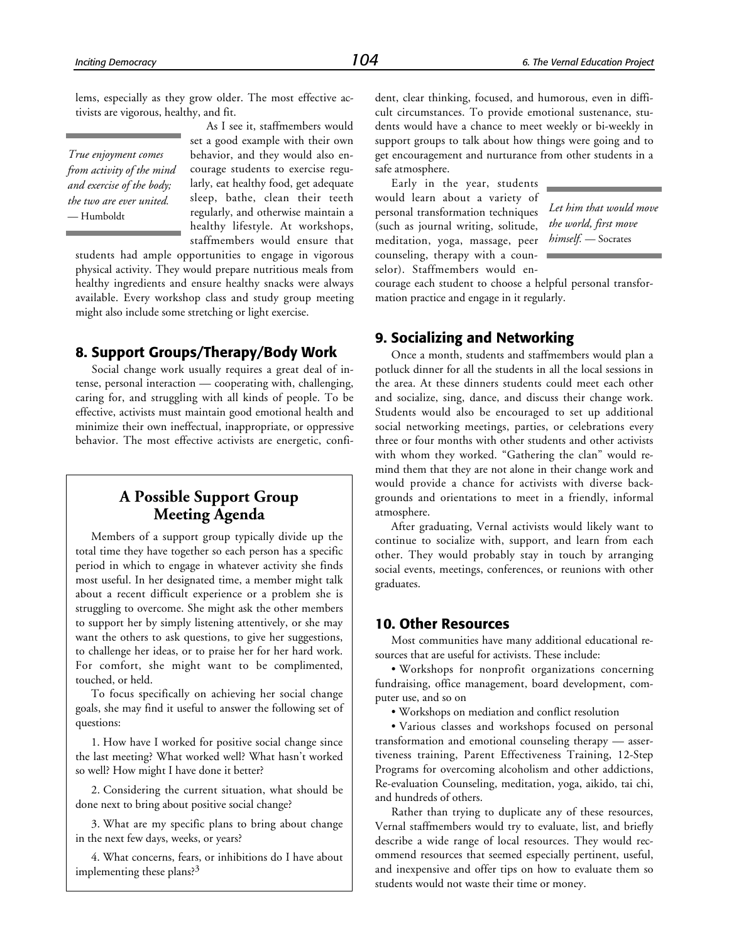lems, especially as they grow older. The most effective activists are vigorous, healthy, and fit.

*True enjoyment comes from activity of the mind and exercise of the body; the two are ever united.* — Humboldt

As I see it, staffmembers would set a good example with their own behavior, and they would also encourage students to exercise regularly, eat healthy food, get adequate sleep, bathe, clean their teeth regularly, and otherwise maintain a healthy lifestyle. At workshops, staffmembers would ensure that

students had ample opportunities to engage in vigorous physical activity. They would prepare nutritious meals from healthy ingredients and ensure healthy snacks were always available. Every workshop class and study group meeting might also include some stretching or light exercise.

## **8. Support Groups/Therapy/Body Work**

Social change work usually requires a great deal of intense, personal interaction — cooperating with, challenging, caring for, and struggling with all kinds of people. To be effective, activists must maintain good emotional health and minimize their own ineffectual, inappropriate, or oppressive behavior. The most effective activists are energetic, confi-

## **A Possible Support Group Meeting Agenda**

Members of a support group typically divide up the total time they have together so each person has a specific period in which to engage in whatever activity she finds most useful. In her designated time, a member might talk about a recent difficult experience or a problem she is struggling to overcome. She might ask the other members to support her by simply listening attentively, or she may want the others to ask questions, to give her suggestions, to challenge her ideas, or to praise her for her hard work. For comfort, she might want to be complimented, touched, or held.

To focus specifically on achieving her social change goals, she may find it useful to answer the following set of questions:

1. How have I worked for positive social change since the last meeting? What worked well? What hasn't worked so well? How might I have done it better?

2. Considering the current situation, what should be done next to bring about positive social change?

3. What are my specific plans to bring about change in the next few days, weeks, or years?

4. What concerns, fears, or inhibitions do I have about implementing these plans?3

dent, clear thinking, focused, and humorous, even in difficult circumstances. To provide emotional sustenance, students would have a chance to meet weekly or bi-weekly in support groups to talk about how things were going and to get encouragement and nurturance from other students in a safe atmosphere.

Early in the year, students would learn about a variety of personal transformation techniques (such as journal writing, solitude, meditation, yoga, massage, peer counseling, therapy with a counselor). Staffmembers would en-

*Let him that would move the world, first move himself.* — Socrates

courage each student to choose a helpful personal transformation practice and engage in it regularly.

## **9. Socializing and Networking**

Once a month, students and staffmembers would plan a potluck dinner for all the students in all the local sessions in the area. At these dinners students could meet each other and socialize, sing, dance, and discuss their change work. Students would also be encouraged to set up additional social networking meetings, parties, or celebrations every three or four months with other students and other activists with whom they worked. "Gathering the clan" would remind them that they are not alone in their change work and would provide a chance for activists with diverse backgrounds and orientations to meet in a friendly, informal atmosphere.

After graduating, Vernal activists would likely want to continue to socialize with, support, and learn from each other. They would probably stay in touch by arranging social events, meetings, conferences, or reunions with other graduates.

#### **10. Other Resources**

Most communities have many additional educational resources that are useful for activists. These include:

• Workshops for nonprofit organizations concerning fundraising, office management, board development, computer use, and so on

• Workshops on mediation and conflict resolution

• Various classes and workshops focused on personal transformation and emotional counseling therapy — assertiveness training, Parent Effectiveness Training, 12-Step Programs for overcoming alcoholism and other addictions, Re-evaluation Counseling, meditation, yoga, aikido, tai chi, and hundreds of others.

Rather than trying to duplicate any of these resources, Vernal staffmembers would try to evaluate, list, and briefly describe a wide range of local resources. They would recommend resources that seemed especially pertinent, useful, and inexpensive and offer tips on how to evaluate them so students would not waste their time or money.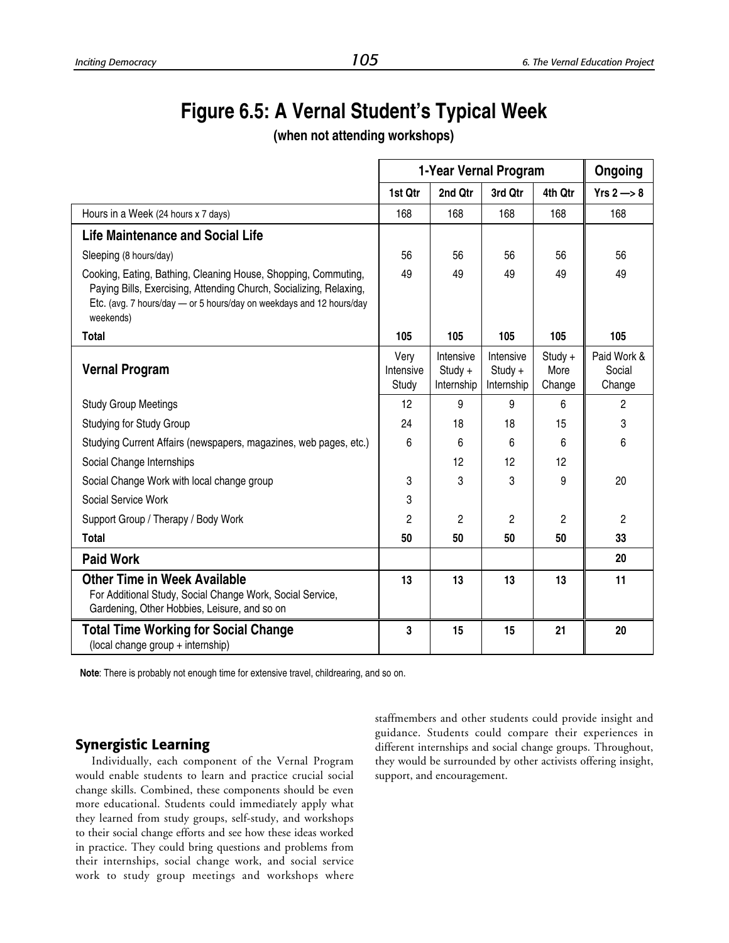# **Figure 6.5: A Vernal Student's Typical Week**

**(when not attending workshops)**

|                                                                                                                                                                                                                           |                            | 1-Year Vernal Program                |                                      |                             |                                 |  |
|---------------------------------------------------------------------------------------------------------------------------------------------------------------------------------------------------------------------------|----------------------------|--------------------------------------|--------------------------------------|-----------------------------|---------------------------------|--|
|                                                                                                                                                                                                                           | 1st Qtr                    | 2nd Qtr                              | 3rd Qtr                              | 4th Qtr                     | $Yrs 2 \rightarrow 8$           |  |
| Hours in a Week (24 hours x 7 days)                                                                                                                                                                                       | 168                        | 168                                  | 168                                  | 168                         | 168                             |  |
| <b>Life Maintenance and Social Life</b>                                                                                                                                                                                   |                            |                                      |                                      |                             |                                 |  |
| Sleeping (8 hours/day)                                                                                                                                                                                                    | 56                         | 56                                   | 56                                   | 56                          | 56                              |  |
| Cooking, Eating, Bathing, Cleaning House, Shopping, Commuting,<br>Paying Bills, Exercising, Attending Church, Socializing, Relaxing,<br>Etc. (avg. 7 hours/day - or 5 hours/day on weekdays and 12 hours/day<br>weekends) | 49                         | 49                                   | 49                                   | 49                          | 49                              |  |
| <b>Total</b>                                                                                                                                                                                                              | 105                        | 105                                  | 105                                  | 105                         | 105                             |  |
| <b>Vernal Program</b>                                                                                                                                                                                                     | Very<br>Intensive<br>Study | Intensive<br>$Study +$<br>Internship | Intensive<br>$Study +$<br>Internship | $Study +$<br>More<br>Change | Paid Work &<br>Social<br>Change |  |
| <b>Study Group Meetings</b>                                                                                                                                                                                               | 12                         | 9                                    | 9                                    | 6                           | $\overline{2}$                  |  |
| <b>Studying for Study Group</b>                                                                                                                                                                                           | 24                         | 18                                   | 18                                   | 15                          | 3                               |  |
| Studying Current Affairs (newspapers, magazines, web pages, etc.)                                                                                                                                                         | 6                          | 6                                    | 6                                    | 6                           | 6                               |  |
| Social Change Internships                                                                                                                                                                                                 |                            | 12                                   | 12                                   | 12                          |                                 |  |
| Social Change Work with local change group                                                                                                                                                                                | 3                          | 3                                    | 3                                    | 9                           | 20                              |  |
| Social Service Work                                                                                                                                                                                                       | 3                          |                                      |                                      |                             |                                 |  |
| Support Group / Therapy / Body Work                                                                                                                                                                                       | 2                          | $\overline{2}$                       | $\mathbf{2}$                         | 2                           | 2                               |  |
| <b>Total</b>                                                                                                                                                                                                              | 50                         | 50                                   | 50                                   | 50                          | 33                              |  |
| <b>Paid Work</b>                                                                                                                                                                                                          |                            |                                      |                                      |                             | 20                              |  |
| <b>Other Time in Week Available</b><br>For Additional Study, Social Change Work, Social Service,<br>Gardening, Other Hobbies, Leisure, and so on                                                                          | 13                         | 13                                   | 13                                   | 13                          | 11                              |  |
| <b>Total Time Working for Social Change</b><br>(local change group + internship)                                                                                                                                          | 3                          | 15                                   | 15                                   | 21                          | 20                              |  |

**Note**: There is probably not enough time for extensive travel, childrearing, and so on.

## **Synergistic Learning**

Individually, each component of the Vernal Program would enable students to learn and practice crucial social change skills. Combined, these components should be even more educational. Students could immediately apply what they learned from study groups, self-study, and workshops to their social change efforts and see how these ideas worked in practice. They could bring questions and problems from their internships, social change work, and social service work to study group meetings and workshops where staffmembers and other students could provide insight and guidance. Students could compare their experiences in different internships and social change groups. Throughout, they would be surrounded by other activists offering insight, support, and encouragement.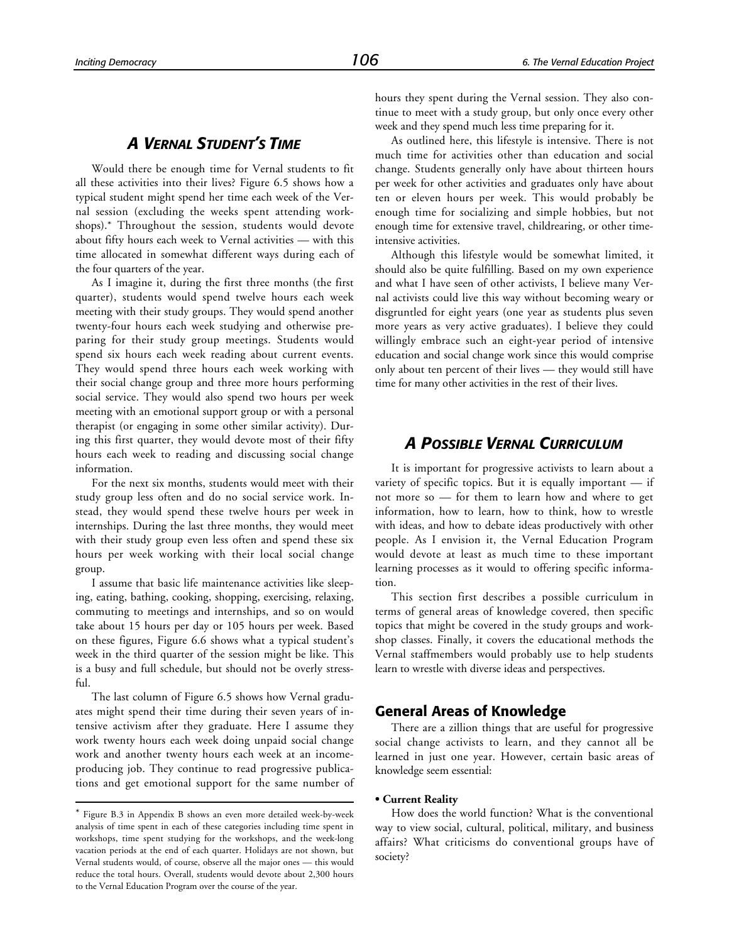## *A VERNAL STUDENT'S TIME*

Would there be enough time for Vernal students to fit all these activities into their lives? Figure 6.5 shows how a typical student might spend her time each week of the Vernal session (excluding the weeks spent attending workshops).\* Throughout the session, students would devote about fifty hours each week to Vernal activities — with this time allocated in somewhat different ways during each of the four quarters of the year.

As I imagine it, during the first three months (the first quarter), students would spend twelve hours each week meeting with their study groups. They would spend another twenty-four hours each week studying and otherwise preparing for their study group meetings. Students would spend six hours each week reading about current events. They would spend three hours each week working with their social change group and three more hours performing social service. They would also spend two hours per week meeting with an emotional support group or with a personal therapist (or engaging in some other similar activity). During this first quarter, they would devote most of their fifty hours each week to reading and discussing social change information.

For the next six months, students would meet with their study group less often and do no social service work. Instead, they would spend these twelve hours per week in internships. During the last three months, they would meet with their study group even less often and spend these six hours per week working with their local social change group.

I assume that basic life maintenance activities like sleeping, eating, bathing, cooking, shopping, exercising, relaxing, commuting to meetings and internships, and so on would take about 15 hours per day or 105 hours per week. Based on these figures, Figure 6.6 shows what a typical student's week in the third quarter of the session might be like. This is a busy and full schedule, but should not be overly stressful.

The last column of Figure 6.5 shows how Vernal graduates might spend their time during their seven years of intensive activism after they graduate. Here I assume they work twenty hours each week doing unpaid social change work and another twenty hours each week at an incomeproducing job. They continue to read progressive publications and get emotional support for the same number of

1

hours they spent during the Vernal session. They also continue to meet with a study group, but only once every other week and they spend much less time preparing for it.

As outlined here, this lifestyle is intensive. There is not much time for activities other than education and social change. Students generally only have about thirteen hours per week for other activities and graduates only have about ten or eleven hours per week. This would probably be enough time for socializing and simple hobbies, but not enough time for extensive travel, childrearing, or other timeintensive activities.

Although this lifestyle would be somewhat limited, it should also be quite fulfilling. Based on my own experience and what I have seen of other activists, I believe many Vernal activists could live this way without becoming weary or disgruntled for eight years (one year as students plus seven more years as very active graduates). I believe they could willingly embrace such an eight-year period of intensive education and social change work since this would comprise only about ten percent of their lives — they would still have time for many other activities in the rest of their lives.

## *A POSSIBLE VERNAL CURRICULUM*

It is important for progressive activists to learn about a variety of specific topics. But it is equally important — if not more so — for them to learn how and where to get information, how to learn, how to think, how to wrestle with ideas, and how to debate ideas productively with other people. As I envision it, the Vernal Education Program would devote at least as much time to these important learning processes as it would to offering specific information.

This section first describes a possible curriculum in terms of general areas of knowledge covered, then specific topics that might be covered in the study groups and workshop classes. Finally, it covers the educational methods the Vernal staffmembers would probably use to help students learn to wrestle with diverse ideas and perspectives.

#### **General Areas of Knowledge**

There are a zillion things that are useful for progressive social change activists to learn, and they cannot all be learned in just one year. However, certain basic areas of knowledge seem essential:

#### **• Current Reality**

How does the world function? What is the conventional way to view social, cultural, political, military, and business affairs? What criticisms do conventional groups have of society?

<sup>\*</sup> Figure B.3 in Appendix B shows an even more detailed week-by-week analysis of time spent in each of these categories including time spent in workshops, time spent studying for the workshops, and the week-long vacation periods at the end of each quarter. Holidays are not shown, but Vernal students would, of course, observe all the major ones — this would reduce the total hours. Overall, students would devote about 2,300 hours to the Vernal Education Program over the course of the year.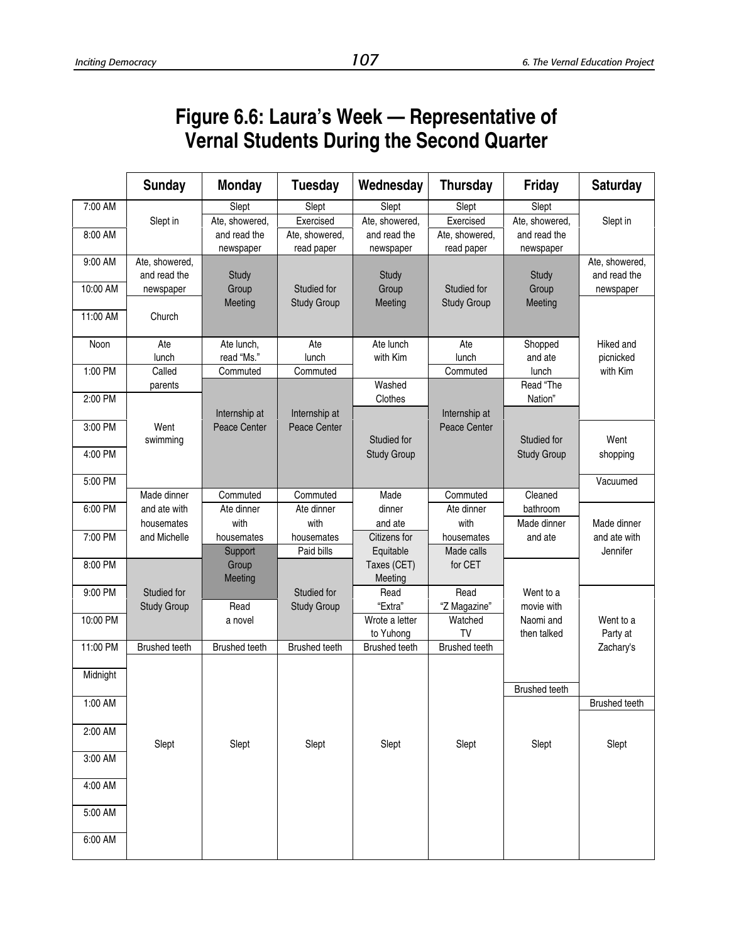# **Figure 6.6: Laura's Week — Representative of Vernal Students During the Second Quarter**

|          | <b>Sunday</b>                  | <b>Monday</b>                 | <b>Tuesday</b>                    | Wednesday                 | <b>Thursday</b>                   | <b>Friday</b>             | <b>Saturday</b>                |
|----------|--------------------------------|-------------------------------|-----------------------------------|---------------------------|-----------------------------------|---------------------------|--------------------------------|
| 7:00 AM  | Slept in                       | Slept<br>Ate, showered,       | Slept<br>Exercised                | Slept<br>Ate, showered,   | Slept<br>Exercised                | Slept<br>Ate, showered,   | Slept in                       |
| 8:00 AM  |                                | and read the<br>newspaper     | Ate, showered,<br>read paper      | and read the<br>newspaper | Ate, showered,<br>read paper      | and read the<br>newspaper |                                |
| 9:00 AM  | Ate, showered,<br>and read the | Study                         |                                   | Study                     |                                   | Study                     | Ate, showered,<br>and read the |
| 10:00 AM | newspaper                      | Group<br>Meeting              | Studied for<br><b>Study Group</b> | Group<br>Meeting          | Studied for<br><b>Study Group</b> | Group<br>Meeting          | newspaper                      |
| 11:00 AM | Church                         |                               |                                   |                           |                                   |                           |                                |
| Noon     | Ate<br>lunch                   | Ate lunch,<br>read "Ms."      | Ate<br>lunch                      | Ate lunch<br>with Kim     | Ate<br>lunch                      | Shopped<br>and ate        | <b>Hiked</b> and<br>picnicked  |
| 1:00 PM  | Called<br>parents              | Commuted                      | Commuted                          | Washed                    | Commuted                          | lunch<br>Read "The        | with Kim                       |
| 2:00 PM  |                                |                               |                                   | Clothes                   |                                   | Nation"                   |                                |
| 3:00 PM  | Went<br>swimming               | Internship at<br>Peace Center | Internship at<br>Peace Center     | Studied for               | Internship at<br>Peace Center     | Studied for               | Went                           |
| 4:00 PM  |                                |                               |                                   | <b>Study Group</b>        |                                   | <b>Study Group</b>        | shopping                       |
| 5:00 PM  | Made dinner                    | Commuted                      | Commuted                          | Made                      | Commuted                          | Cleaned                   | Vacuumed                       |
| 6:00 PM  | and ate with                   | Ate dinner                    | Ate dinner                        | dinner                    | Ate dinner                        | bathroom                  |                                |
| 7:00 PM  | housemates<br>and Michelle     | with<br>housemates            | with<br>housemates                | and ate<br>Citizens for   | with<br>housemates                | Made dinner<br>and ate    | Made dinner<br>and ate with    |
|          |                                | Support                       | Paid bills                        | Equitable                 | Made calls                        |                           | Jennifer                       |
| 8:00 PM  |                                | Group<br>Meeting              |                                   | Taxes (CET)<br>Meeting    | for CET                           |                           |                                |
| 9:00 PM  | Studied for                    |                               | Studied for                       | Read                      | Read                              | Went to a                 |                                |
| 10:00 PM | <b>Study Group</b>             | Read<br>a novel               | <b>Study Group</b>                | "Extra"<br>Wrote a letter | "Z Magazine"<br>Watched           | movie with<br>Naomi and   | Went to a                      |
|          |                                |                               |                                   | to Yuhong                 | TV                                | then talked               | Party at                       |
| 11:00 PM | <b>Brushed teeth</b>           | <b>Brushed teeth</b>          | <b>Brushed teeth</b>              | <b>Brushed teeth</b>      | <b>Brushed teeth</b>              |                           | Zachary's                      |
| Midnight |                                |                               |                                   |                           |                                   | <b>Brushed teeth</b>      |                                |
| 1:00 AM  |                                |                               |                                   |                           |                                   |                           | <b>Brushed teeth</b>           |
| 2:00 AM  | Slept                          | Slept                         | Slept                             | Slept                     | Slept                             | Slept                     | Slept                          |
| 3:00 AM  |                                |                               |                                   |                           |                                   |                           |                                |
| 4:00 AM  |                                |                               |                                   |                           |                                   |                           |                                |
| 5:00 AM  |                                |                               |                                   |                           |                                   |                           |                                |
| 6:00 AM  |                                |                               |                                   |                           |                                   |                           |                                |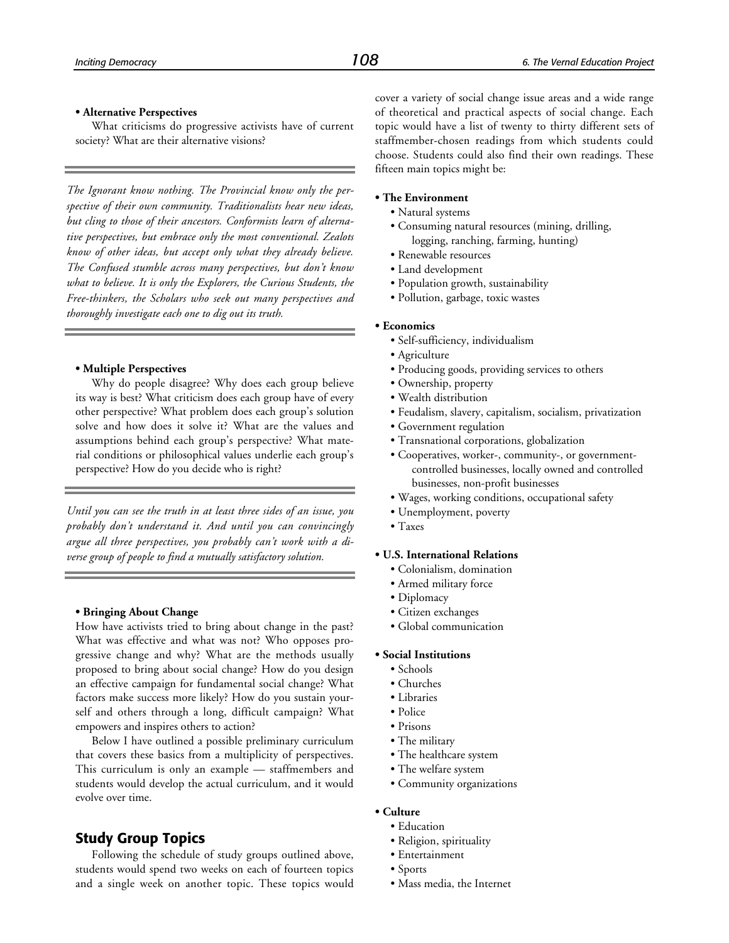#### **• Alternative Perspectives**

What criticisms do progressive activists have of current society? What are their alternative visions?

*The Ignorant know nothing. The Provincial know only the perspective of their own community. Traditionalists hear new ideas, but cling to those of their ancestors. Conformists learn of alternative perspectives, but embrace only the most conventional. Zealots know of other ideas, but accept only what they already believe. The Confused stumble across many perspectives, but don't know what to believe. It is only the Explorers, the Curious Students, the Free-thinkers, the Scholars who seek out many perspectives and thoroughly investigate each one to dig out its truth.*

#### **• Multiple Perspectives**

Why do people disagree? Why does each group believe its way is best? What criticism does each group have of every other perspective? What problem does each group's solution solve and how does it solve it? What are the values and assumptions behind each group's perspective? What material conditions or philosophical values underlie each group's perspective? How do you decide who is right?

*Until you can see the truth in at least three sides of an issue, you probably don't understand it. And until you can convincingly argue all three perspectives, you probably can't work with a diverse group of people to find a mutually satisfactory solution.*

#### **• Bringing About Change**

How have activists tried to bring about change in the past? What was effective and what was not? Who opposes progressive change and why? What are the methods usually proposed to bring about social change? How do you design an effective campaign for fundamental social change? What factors make success more likely? How do you sustain yourself and others through a long, difficult campaign? What empowers and inspires others to action?

Below I have outlined a possible preliminary curriculum that covers these basics from a multiplicity of perspectives. This curriculum is only an example — staffmembers and students would develop the actual curriculum, and it would evolve over time.

## **Study Group Topics**

Following the schedule of study groups outlined above, students would spend two weeks on each of fourteen topics and a single week on another topic. These topics would cover a variety of social change issue areas and a wide range of theoretical and practical aspects of social change. Each topic would have a list of twenty to thirty different sets of staffmember-chosen readings from which students could choose. Students could also find their own readings. These fifteen main topics might be:

#### **• The Environment**

- Natural systems
- Consuming natural resources (mining, drilling, logging, ranching, farming, hunting)
- Renewable resources
- Land development
- Population growth, sustainability
- Pollution, garbage, toxic wastes

#### **• Economics**

- Self-sufficiency, individualism
- Agriculture
- Producing goods, providing services to others
- Ownership, property
- Wealth distribution
- Feudalism, slavery, capitalism, socialism, privatization
- Government regulation
- Transnational corporations, globalization
- Cooperatives, worker-, community-, or governmentcontrolled businesses, locally owned and controlled businesses, non-profit businesses
- Wages, working conditions, occupational safety
- Unemployment, poverty
- Taxes

#### **• U.S. International Relations**

- Colonialism, domination
- Armed military force
- Diplomacy
- Citizen exchanges
- Global communication

#### **• Social Institutions**

- Schools
- Churches
- Libraries
- Police
- Prisons
- The military
- The healthcare system
- The welfare system
- Community organizations
- **Culture**
	- Education
	- Religion, spirituality
	- Entertainment
	- Sports
	- Mass media, the Internet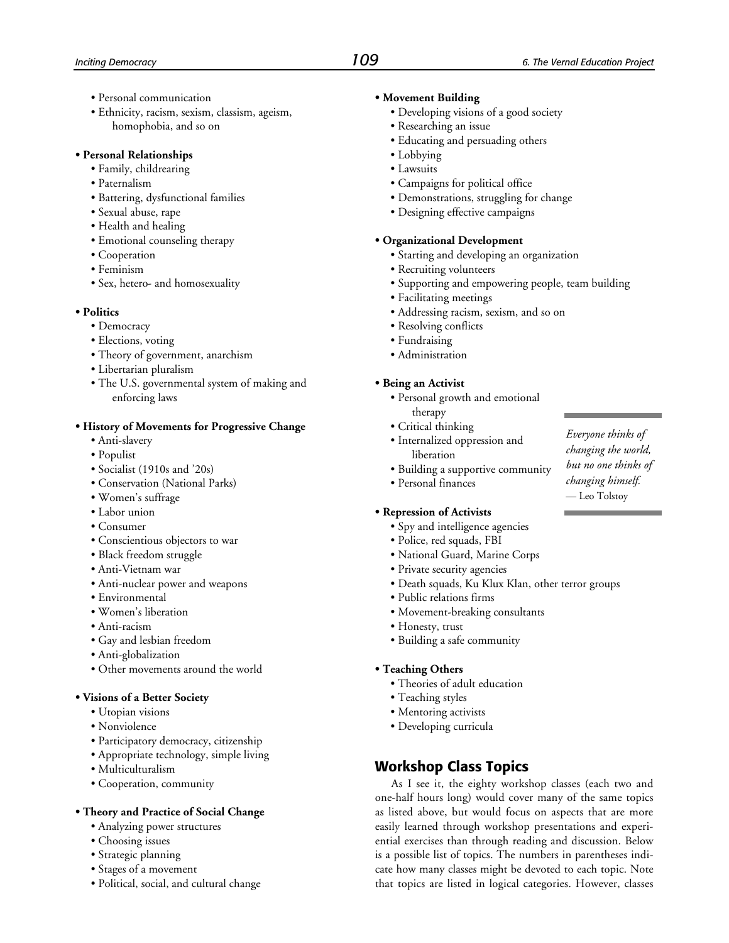- Personal communication
- Ethnicity, racism, sexism, classism, ageism, homophobia, and so on

#### **• Personal Relationships**

- Family, childrearing
- Paternalism
- Battering, dysfunctional families
- Sexual abuse, rape
- Health and healing
- Emotional counseling therapy
- Cooperation
- Feminism
- Sex, hetero- and homosexuality

#### **• Politics**

- Democracy
- Elections, voting
- Theory of government, anarchism
- Libertarian pluralism
- The U.S. governmental system of making and enforcing laws

#### **• History of Movements for Progressive Change**

- Anti-slavery
- Populist
- Socialist (1910s and '20s)
- Conservation (National Parks)
- Women's suffrage
- Labor union
- Consumer
- Conscientious objectors to war
- Black freedom struggle
- Anti-Vietnam war
- Anti-nuclear power and weapons
- Environmental
- Women's liberation
- Anti-racism
- Gay and lesbian freedom
- Anti-globalization
- Other movements around the world

#### **• Visions of a Better Society**

- Utopian visions
- Nonviolence
- Participatory democracy, citizenship
- Appropriate technology, simple living
- Multiculturalism
- Cooperation, community

#### **• Theory and Practice of Social Change**

- Analyzing power structures
- Choosing issues
- Strategic planning
- Stages of a movement
- Political, social, and cultural change

#### **• Movement Building**

- Developing visions of a good society
- Researching an issue
- Educating and persuading others
- Lobbying
- Lawsuits
- Campaigns for political office
- Demonstrations, struggling for change
- Designing effective campaigns

#### **• Organizational Development**

- Starting and developing an organization
- Recruiting volunteers
- Supporting and empowering people, team building
- Facilitating meetings
- Addressing racism, sexism, and so on
- Resolving conflicts
- Fundraising
- Administration

#### **• Being an Activist**

- Personal growth and emotional therapy
- Critical thinking
- Internalized oppression and liberation
- Building a supportive community
- Personal finances

#### **• Repression of Activists**

- Spy and intelligence agencies
- Police, red squads, FBI
- National Guard, Marine Corps
- Private security agencies
- Death squads, Ku Klux Klan, other terror groups
- Public relations firms
- Movement-breaking consultants
- Honesty, trust
- Building a safe community

#### **• Teaching Others**

- Theories of adult education
- Teaching styles
- Mentoring activists
- Developing curricula

## **Workshop Class Topics**

As I see it, the eighty workshop classes (each two and one-half hours long) would cover many of the same topics as listed above, but would focus on aspects that are more easily learned through workshop presentations and experiential exercises than through reading and discussion. Below is a possible list of topics. The numbers in parentheses indicate how many classes might be devoted to each topic. Note that topics are listed in logical categories. However, classes

*Everyone thinks of changing the world, but no one thinks of changing himself.* — Leo Tolstoy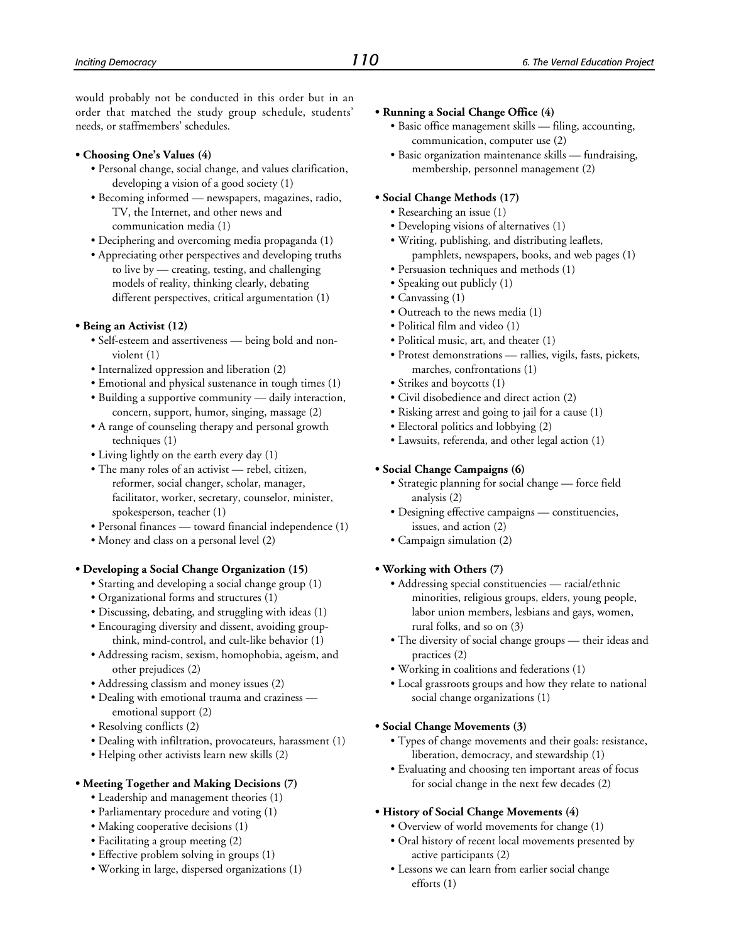would probably not be conducted in this order but in an order that matched the study group schedule, students' needs, or staffmembers' schedules.

#### **• Choosing One's Values (4)**

- Personal change, social change, and values clarification, developing a vision of a good society (1)
- Becoming informed newspapers, magazines, radio, TV, the Internet, and other news and communication media (1)
- Deciphering and overcoming media propaganda (1)
- Appreciating other perspectives and developing truths to live by — creating, testing, and challenging models of reality, thinking clearly, debating different perspectives, critical argumentation (1)

#### **• Being an Activist (12)**

- Self-esteem and assertiveness being bold and nonviolent (1)
- Internalized oppression and liberation (2)
- Emotional and physical sustenance in tough times (1)
- Building a supportive community daily interaction, concern, support, humor, singing, massage (2)
- A range of counseling therapy and personal growth techniques (1)
- Living lightly on the earth every day (1)
- The many roles of an activist rebel, citizen, reformer, social changer, scholar, manager, facilitator, worker, secretary, counselor, minister, spokesperson, teacher (1)
- Personal finances toward financial independence (1)
- Money and class on a personal level  $(2)$

#### **• Developing a Social Change Organization (15)**

- Starting and developing a social change group (1)
- Organizational forms and structures (1)
- Discussing, debating, and struggling with ideas (1)
- Encouraging diversity and dissent, avoiding groupthink, mind-control, and cult-like behavior (1)
- Addressing racism, sexism, homophobia, ageism, and other prejudices (2)
- Addressing classism and money issues (2)
- Dealing with emotional trauma and craziness emotional support (2)
- Resolving conflicts (2)
- Dealing with infiltration, provocateurs, harassment (1)
- Helping other activists learn new skills (2)
- **Meeting Together and Making Decisions (7)**
	- Leadership and management theories (1)
	- Parliamentary procedure and voting (1)
	- Making cooperative decisions (1)
	- Facilitating a group meeting (2)
	- Effective problem solving in groups (1)
	- Working in large, dispersed organizations (1)

#### **• Running a Social Change Office (4)**

- Basic office management skills filing, accounting, communication, computer use (2)
- Basic organization maintenance skills fundraising, membership, personnel management (2)

#### **• Social Change Methods (17)**

- Researching an issue (1)
- Developing visions of alternatives (1)
- Writing, publishing, and distributing leaflets, pamphlets, newspapers, books, and web pages (1)
- Persuasion techniques and methods (1)
- Speaking out publicly (1)
- Canvassing (1)
- Outreach to the news media (1)
- Political film and video (1)
- Political music, art, and theater (1)
- Protest demonstrations rallies, vigils, fasts, pickets, marches, confrontations (1)
- Strikes and boycotts (1)
- Civil disobedience and direct action (2)
- Risking arrest and going to jail for a cause (1)
- Electoral politics and lobbying (2)
- Lawsuits, referenda, and other legal action (1)

#### **• Social Change Campaigns (6)**

- Strategic planning for social change force field analysis (2)
- Designing effective campaigns constituencies, issues, and action (2)
- Campaign simulation (2)

#### **• Working with Others (7)**

- Addressing special constituencies racial/ethnic minorities, religious groups, elders, young people, labor union members, lesbians and gays, women, rural folks, and so on (3)
- The diversity of social change groups their ideas and practices (2)
- Working in coalitions and federations (1)
- Local grassroots groups and how they relate to national social change organizations (1)

#### **• Social Change Movements (3)**

- Types of change movements and their goals: resistance, liberation, democracy, and stewardship (1)
- Evaluating and choosing ten important areas of focus for social change in the next few decades (2)

#### **• History of Social Change Movements (4)**

- Overview of world movements for change (1)
- Oral history of recent local movements presented by active participants (2)
- Lessons we can learn from earlier social change efforts (1)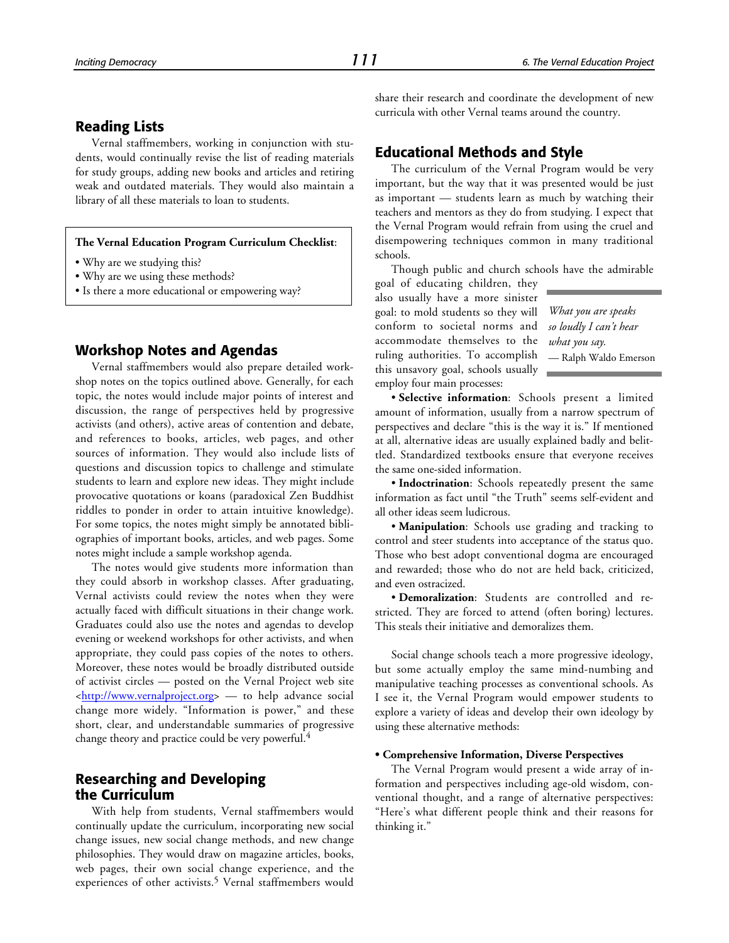#### **Reading Lists**

Vernal staffmembers, working in conjunction with students, would continually revise the list of reading materials for study groups, adding new books and articles and retiring weak and outdated materials. They would also maintain a library of all these materials to loan to students.

#### **The Vernal Education Program Curriculum Checklist**:

- Why are we studying this?
- Why are we using these methods?
- Is there a more educational or empowering way?

#### **Workshop Notes and Agendas**

Vernal staffmembers would also prepare detailed workshop notes on the topics outlined above. Generally, for each topic, the notes would include major points of interest and discussion, the range of perspectives held by progressive activists (and others), active areas of contention and debate, and references to books, articles, web pages, and other sources of information. They would also include lists of questions and discussion topics to challenge and stimulate students to learn and explore new ideas. They might include provocative quotations or koans (paradoxical Zen Buddhist riddles to ponder in order to attain intuitive knowledge). For some topics, the notes might simply be annotated bibliographies of important books, articles, and web pages. Some notes might include a sample workshop agenda.

The notes would give students more information than they could absorb in workshop classes. After graduating, Vernal activists could review the notes when they were actually faced with difficult situations in their change work. Graduates could also use the notes and agendas to develop evening or weekend workshops for other activists, and when appropriate, they could pass copies of the notes to others. Moreover, these notes would be broadly distributed outside of activist circles — posted on the Vernal Project web site [<http://www.vernalproject.org>](http://www.vernalproject.org) — to help advance social change more widely. "Information is power," and these short, clear, and understandable summaries of progressive change theory and practice could be very powerful.<sup>4</sup>

## **Researching and Developing the Curriculum**

With help from students, Vernal staffmembers would continually update the curriculum, incorporating new social change issues, new social change methods, and new change philosophies. They would draw on magazine articles, books, web pages, their own social change experience, and the experiences of other activists.<sup>5</sup> Vernal staffmembers would share their research and coordinate the development of new curricula with other Vernal teams around the country.

#### **Educational Methods and Style**

The curriculum of the Vernal Program would be very important, but the way that it was presented would be just as important — students learn as much by watching their teachers and mentors as they do from studying. I expect that the Vernal Program would refrain from using the cruel and disempowering techniques common in many traditional schools.

Though public and church schools have the admirable

goal of educating children, they also usually have a more sinister goal: to mold students so they will conform to societal norms and accommodate themselves to the ruling authorities. To accomplish this unsavory goal, schools usually employ four main processes:

*What you are speaks so loudly I can't hear what you say.* — Ralph Waldo Emerson

• **Selective information**: Schools present a limited amount of information, usually from a narrow spectrum of perspectives and declare "this is the way it is." If mentioned at all, alternative ideas are usually explained badly and belittled. Standardized textbooks ensure that everyone receives the same one-sided information.

• **Indoctrination**: Schools repeatedly present the same information as fact until "the Truth" seems self-evident and all other ideas seem ludicrous.

• **Manipulation**: Schools use grading and tracking to control and steer students into acceptance of the status quo. Those who best adopt conventional dogma are encouraged and rewarded; those who do not are held back, criticized, and even ostracized.

• **Demoralization**: Students are controlled and restricted. They are forced to attend (often boring) lectures. This steals their initiative and demoralizes them.

Social change schools teach a more progressive ideology, but some actually employ the same mind-numbing and manipulative teaching processes as conventional schools. As I see it, the Vernal Program would empower students to explore a variety of ideas and develop their own ideology by using these alternative methods:

#### **• Comprehensive Information, Diverse Perspectives**

The Vernal Program would present a wide array of information and perspectives including age-old wisdom, conventional thought, and a range of alternative perspectives: "Here's what different people think and their reasons for thinking it."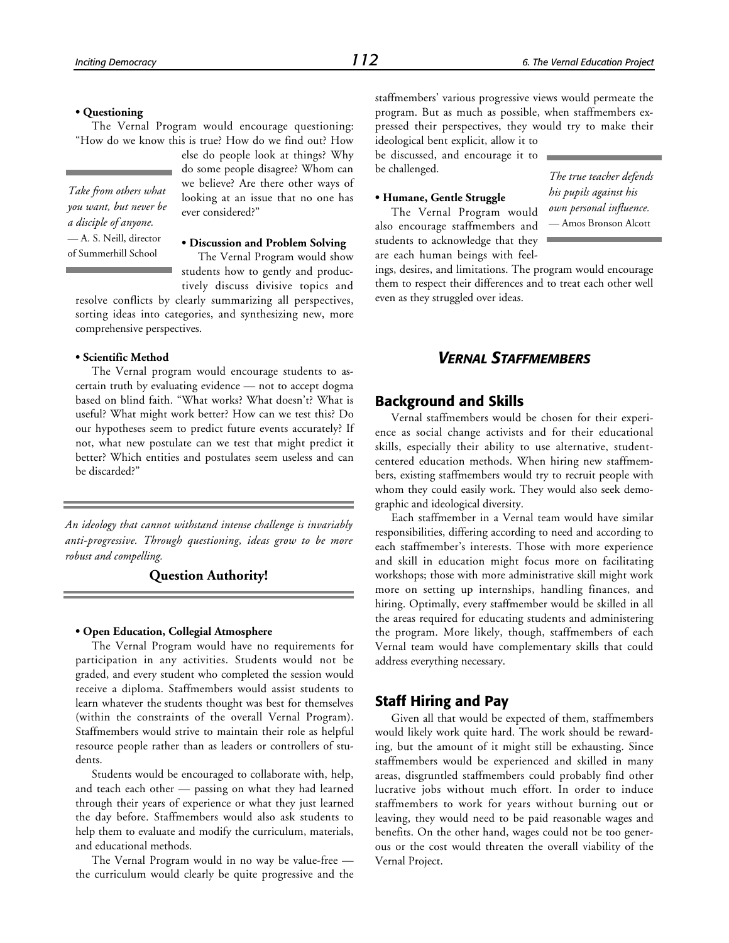#### **• Questioning**

The Vernal Program would encourage questioning: "How do we know this is true? How do we find out? How

*Take from others what you want, but never be a disciple of anyone.* — A. S. Neill, director of Summerhill School

else do people look at things? Why do some people disagree? Whom can we believe? Are there other ways of looking at an issue that no one has ever considered?"

**• Discussion and Problem Solving** The Vernal Program would show students how to gently and productively discuss divisive topics and

resolve conflicts by clearly summarizing all perspectives, sorting ideas into categories, and synthesizing new, more comprehensive perspectives.

#### **• Scientific Method**

The Vernal program would encourage students to ascertain truth by evaluating evidence — not to accept dogma based on blind faith. "What works? What doesn't? What is useful? What might work better? How can we test this? Do our hypotheses seem to predict future events accurately? If not, what new postulate can we test that might predict it better? Which entities and postulates seem useless and can be discarded?"

*An ideology that cannot withstand intense challenge is invariably anti-progressive. Through questioning, ideas grow to be more robust and compelling.*

#### **Question Authority!**

#### **• Open Education, Collegial Atmosphere**

The Vernal Program would have no requirements for participation in any activities. Students would not be graded, and every student who completed the session would receive a diploma. Staffmembers would assist students to learn whatever the students thought was best for themselves (within the constraints of the overall Vernal Program). Staffmembers would strive to maintain their role as helpful resource people rather than as leaders or controllers of students.

Students would be encouraged to collaborate with, help, and teach each other — passing on what they had learned through their years of experience or what they just learned the day before. Staffmembers would also ask students to help them to evaluate and modify the curriculum, materials, and educational methods.

The Vernal Program would in no way be value-free the curriculum would clearly be quite progressive and the staffmembers' various progressive views would permeate the program. But as much as possible, when staffmembers expressed their perspectives, they would try to make their ideological bent explicit, allow it to

be discussed, and encourage it to be challenged.

#### **• Humane, Gentle Struggle**

The Vernal Program would also encourage staffmembers and students to acknowledge that they are each human beings with feel*The true teacher defends his pupils against his own personal influence.* — Amos Bronson Alcott

ings, desires, and limitations. The program would encourage them to respect their differences and to treat each other well even as they struggled over ideas.

## *VERNAL STAFFMEMBERS*

#### **Background and Skills**

Vernal staffmembers would be chosen for their experience as social change activists and for their educational skills, especially their ability to use alternative, studentcentered education methods. When hiring new staffmembers, existing staffmembers would try to recruit people with whom they could easily work. They would also seek demographic and ideological diversity.

Each staffmember in a Vernal team would have similar responsibilities, differing according to need and according to each staffmember's interests. Those with more experience and skill in education might focus more on facilitating workshops; those with more administrative skill might work more on setting up internships, handling finances, and hiring. Optimally, every staffmember would be skilled in all the areas required for educating students and administering the program. More likely, though, staffmembers of each Vernal team would have complementary skills that could address everything necessary.

#### **Staff Hiring and Pay**

Given all that would be expected of them, staffmembers would likely work quite hard. The work should be rewarding, but the amount of it might still be exhausting. Since staffmembers would be experienced and skilled in many areas, disgruntled staffmembers could probably find other lucrative jobs without much effort. In order to induce staffmembers to work for years without burning out or leaving, they would need to be paid reasonable wages and benefits. On the other hand, wages could not be too generous or the cost would threaten the overall viability of the Vernal Project.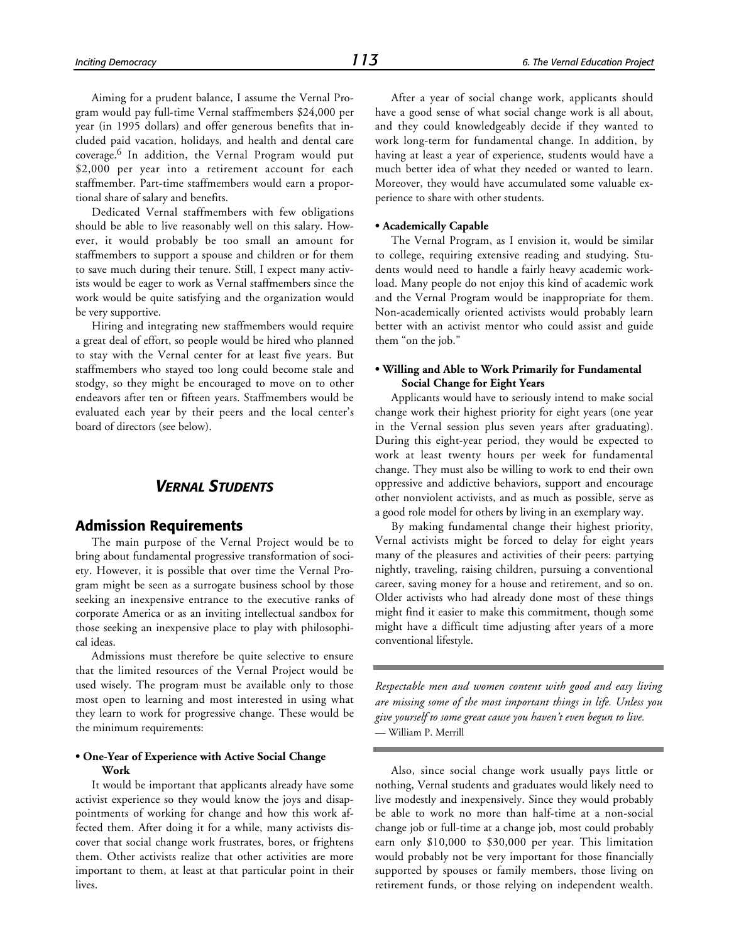Aiming for a prudent balance, I assume the Vernal Program would pay full-time Vernal staffmembers \$24,000 per year (in 1995 dollars) and offer generous benefits that included paid vacation, holidays, and health and dental care coverage.6 In addition, the Vernal Program would put \$2,000 per year into a retirement account for each staffmember. Part-time staffmembers would earn a proportional share of salary and benefits.

Dedicated Vernal staffmembers with few obligations should be able to live reasonably well on this salary. However, it would probably be too small an amount for staffmembers to support a spouse and children or for them to save much during their tenure. Still, I expect many activists would be eager to work as Vernal staffmembers since the work would be quite satisfying and the organization would be very supportive.

Hiring and integrating new staffmembers would require a great deal of effort, so people would be hired who planned to stay with the Vernal center for at least five years. But staffmembers who stayed too long could become stale and stodgy, so they might be encouraged to move on to other endeavors after ten or fifteen years. Staffmembers would be evaluated each year by their peers and the local center's board of directors (see below).

## *VERNAL STUDENTS*

## **Admission Requirements**

The main purpose of the Vernal Project would be to bring about fundamental progressive transformation of society. However, it is possible that over time the Vernal Program might be seen as a surrogate business school by those seeking an inexpensive entrance to the executive ranks of corporate America or as an inviting intellectual sandbox for those seeking an inexpensive place to play with philosophical ideas.

Admissions must therefore be quite selective to ensure that the limited resources of the Vernal Project would be used wisely. The program must be available only to those most open to learning and most interested in using what they learn to work for progressive change. These would be the minimum requirements:

#### **• One-Year of Experience with Active Social Change Work**

It would be important that applicants already have some activist experience so they would know the joys and disappointments of working for change and how this work affected them. After doing it for a while, many activists discover that social change work frustrates, bores, or frightens them. Other activists realize that other activities are more important to them, at least at that particular point in their lives.

After a year of social change work, applicants should have a good sense of what social change work is all about, and they could knowledgeably decide if they wanted to work long-term for fundamental change. In addition, by having at least a year of experience, students would have a much better idea of what they needed or wanted to learn. Moreover, they would have accumulated some valuable experience to share with other students.

#### **• Academically Capable**

The Vernal Program, as I envision it, would be similar to college, requiring extensive reading and studying. Students would need to handle a fairly heavy academic workload. Many people do not enjoy this kind of academic work and the Vernal Program would be inappropriate for them. Non-academically oriented activists would probably learn better with an activist mentor who could assist and guide them "on the job."

#### **• Willing and Able to Work Primarily for Fundamental Social Change for Eight Years**

Applicants would have to seriously intend to make social change work their highest priority for eight years (one year in the Vernal session plus seven years after graduating). During this eight-year period, they would be expected to work at least twenty hours per week for fundamental change. They must also be willing to work to end their own oppressive and addictive behaviors, support and encourage other nonviolent activists, and as much as possible, serve as a good role model for others by living in an exemplary way.

By making fundamental change their highest priority, Vernal activists might be forced to delay for eight years many of the pleasures and activities of their peers: partying nightly, traveling, raising children, pursuing a conventional career, saving money for a house and retirement, and so on. Older activists who had already done most of these things might find it easier to make this commitment, though some might have a difficult time adjusting after years of a more conventional lifestyle.

*Respectable men and women content with good and easy living are missing some of the most important things in life. Unless you give yourself to some great cause you haven't even begun to live.* — William P. Merrill

Also, since social change work usually pays little or nothing, Vernal students and graduates would likely need to live modestly and inexpensively. Since they would probably be able to work no more than half-time at a non-social change job or full-time at a change job, most could probably earn only \$10,000 to \$30,000 per year. This limitation would probably not be very important for those financially supported by spouses or family members, those living on retirement funds, or those relying on independent wealth.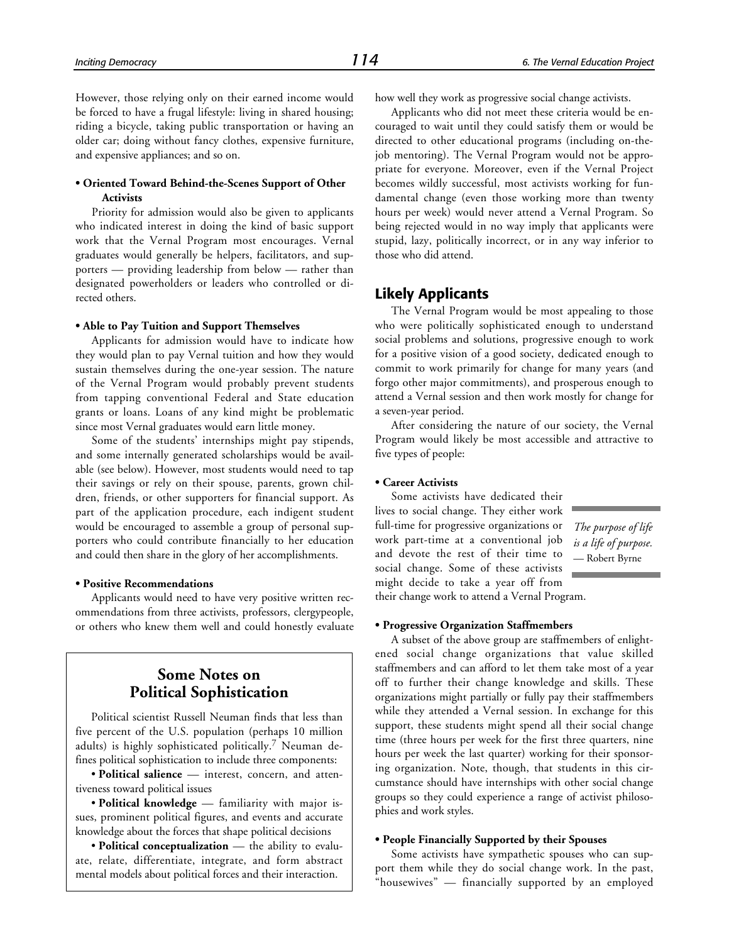However, those relying only on their earned income would be forced to have a frugal lifestyle: living in shared housing; riding a bicycle, taking public transportation or having an older car; doing without fancy clothes, expensive furniture, and expensive appliances; and so on.

#### **• Oriented Toward Behind-the-Scenes Support of Other Activists**

Priority for admission would also be given to applicants who indicated interest in doing the kind of basic support work that the Vernal Program most encourages. Vernal graduates would generally be helpers, facilitators, and supporters — providing leadership from below — rather than designated powerholders or leaders who controlled or directed others.

#### **• Able to Pay Tuition and Support Themselves**

Applicants for admission would have to indicate how they would plan to pay Vernal tuition and how they would sustain themselves during the one-year session. The nature of the Vernal Program would probably prevent students from tapping conventional Federal and State education grants or loans. Loans of any kind might be problematic since most Vernal graduates would earn little money.

Some of the students' internships might pay stipends, and some internally generated scholarships would be available (see below). However, most students would need to tap their savings or rely on their spouse, parents, grown children, friends, or other supporters for financial support. As part of the application procedure, each indigent student would be encouraged to assemble a group of personal supporters who could contribute financially to her education and could then share in the glory of her accomplishments.

#### **• Positive Recommendations**

Applicants would need to have very positive written recommendations from three activists, professors, clergypeople, or others who knew them well and could honestly evaluate

## **Some Notes on Political Sophistication**

Political scientist Russell Neuman finds that less than five percent of the U.S. population (perhaps 10 million adults) is highly sophisticated politically.7 Neuman defines political sophistication to include three components:

• **Political salience** — interest, concern, and attentiveness toward political issues

• **Political knowledge** — familiarity with major issues, prominent political figures, and events and accurate knowledge about the forces that shape political decisions

• **Political conceptualization** — the ability to evaluate, relate, differentiate, integrate, and form abstract mental models about political forces and their interaction.

how well they work as progressive social change activists.

Applicants who did not meet these criteria would be encouraged to wait until they could satisfy them or would be directed to other educational programs (including on-thejob mentoring). The Vernal Program would not be appropriate for everyone. Moreover, even if the Vernal Project becomes wildly successful, most activists working for fundamental change (even those working more than twenty hours per week) would never attend a Vernal Program. So being rejected would in no way imply that applicants were stupid, lazy, politically incorrect, or in any way inferior to those who did attend.

#### **Likely Applicants**

The Vernal Program would be most appealing to those who were politically sophisticated enough to understand social problems and solutions, progressive enough to work for a positive vision of a good society, dedicated enough to commit to work primarily for change for many years (and forgo other major commitments), and prosperous enough to attend a Vernal session and then work mostly for change for a seven-year period.

After considering the nature of our society, the Vernal Program would likely be most accessible and attractive to five types of people:

#### **• Career Activists**

Some activists have dedicated their lives to social change. They either work full-time for progressive organizations or work part-time at a conventional job and devote the rest of their time to social change. Some of these activists might decide to take a year off from their change work to attend a Vernal Program.

*The purpose of life is a life of purpose.* — Robert Byrne

#### **• Progressive Organization Staffmembers**

A subset of the above group are staffmembers of enlightened social change organizations that value skilled staffmembers and can afford to let them take most of a year off to further their change knowledge and skills. These organizations might partially or fully pay their staffmembers while they attended a Vernal session. In exchange for this support, these students might spend all their social change time (three hours per week for the first three quarters, nine hours per week the last quarter) working for their sponsoring organization. Note, though, that students in this circumstance should have internships with other social change groups so they could experience a range of activist philosophies and work styles.

#### **• People Financially Supported by their Spouses**

Some activists have sympathetic spouses who can support them while they do social change work. In the past, "housewives" — financially supported by an employed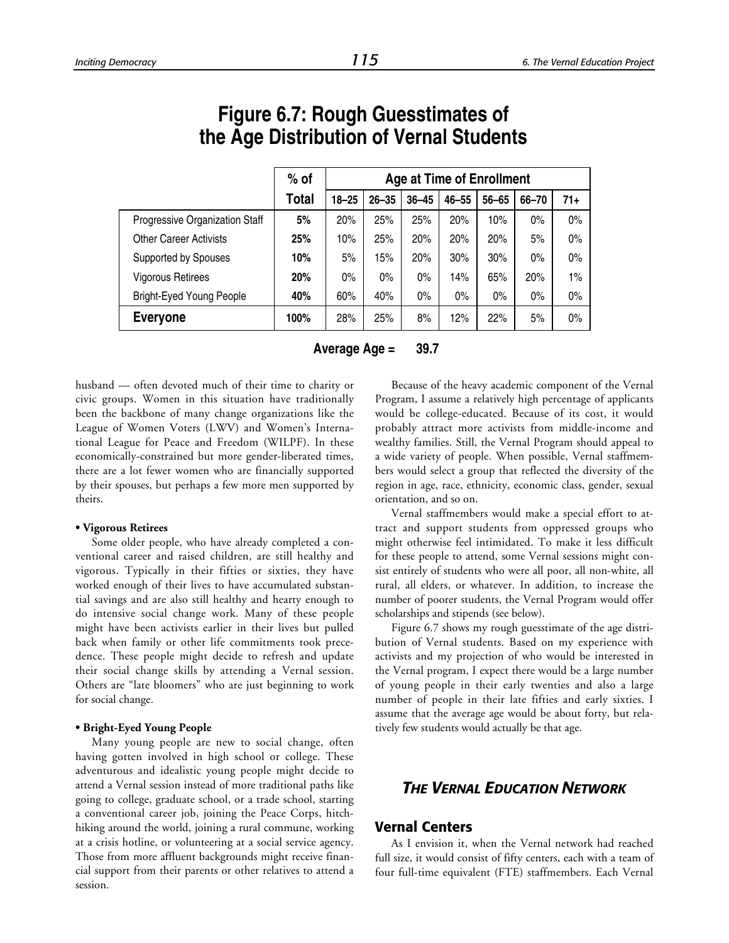|                                 | $%$ of                                                                 | <b>Age at Time of Enrollment</b> |       |       |     |       |       |       |
|---------------------------------|------------------------------------------------------------------------|----------------------------------|-------|-------|-----|-------|-------|-------|
|                                 | Total<br>$46 - 55$<br>$18 - 25$<br>$26 - 35$<br>$36 - 45$<br>$56 - 65$ |                                  |       |       |     |       |       | $71+$ |
| Progressive Organization Staff  | 5%                                                                     | 20%                              | 25%   | 25%   | 20% | 10%   | $0\%$ | 0%    |
| <b>Other Career Activists</b>   | 25%                                                                    | 10%                              | 25%   | 20%   | 20% | 20%   | 5%    | 0%    |
| Supported by Spouses            | 10%                                                                    | 5%                               | 15%   | 20%   | 30% | 30%   | $0\%$ | $0\%$ |
| <b>Vigorous Retirees</b>        | 20%                                                                    | $0\%$                            | $0\%$ | $0\%$ | 14% | 65%   | 20%   | 1%    |
| <b>Bright-Eyed Young People</b> | 40%                                                                    | 60%                              | 40%   | $0\%$ | 0%  | $0\%$ | $0\%$ | $0\%$ |
| <b>Everyone</b>                 | 100%                                                                   | 28%                              | 25%   | 8%    | 12% | 22%   | 5%    | $0\%$ |

# **Figure 6.7: Rough Guesstimates of the Age Distribution of Vernal Students**

**Average Age = 39.7**

husband — often devoted much of their time to charity or civic groups. Women in this situation have traditionally been the backbone of many change organizations like the League of Women Voters (LWV) and Women's International League for Peace and Freedom (WILPF). In these economically-constrained but more gender-liberated times, there are a lot fewer women who are financially supported by their spouses, but perhaps a few more men supported by theirs.

#### **• Vigorous Retirees**

Some older people, who have already completed a conventional career and raised children, are still healthy and vigorous. Typically in their fifties or sixties, they have worked enough of their lives to have accumulated substantial savings and are also still healthy and hearty enough to do intensive social change work. Many of these people might have been activists earlier in their lives but pulled back when family or other life commitments took precedence. These people might decide to refresh and update their social change skills by attending a Vernal session. Others are "late bloomers" who are just beginning to work for social change.

#### **• Bright-Eyed Young People**

Many young people are new to social change, often having gotten involved in high school or college. These adventurous and idealistic young people might decide to attend a Vernal session instead of more traditional paths like going to college, graduate school, or a trade school, starting a conventional career job, joining the Peace Corps, hitchhiking around the world, joining a rural commune, working at a crisis hotline, or volunteering at a social service agency. Those from more affluent backgrounds might receive financial support from their parents or other relatives to attend a session.

Because of the heavy academic component of the Vernal Program, I assume a relatively high percentage of applicants would be college-educated. Because of its cost, it would probably attract more activists from middle-income and wealthy families. Still, the Vernal Program should appeal to a wide variety of people. When possible, Vernal staffmembers would select a group that reflected the diversity of the region in age, race, ethnicity, economic class, gender, sexual orientation, and so on.

Vernal staffmembers would make a special effort to attract and support students from oppressed groups who might otherwise feel intimidated. To make it less difficult for these people to attend, some Vernal sessions might consist entirely of students who were all poor, all non-white, all rural, all elders, or whatever. In addition, to increase the number of poorer students, the Vernal Program would offer scholarships and stipends (see below).

Figure 6.7 shows my rough guesstimate of the age distribution of Vernal students. Based on my experience with activists and my projection of who would be interested in the Vernal program, I expect there would be a large number of young people in their early twenties and also a large number of people in their late fifties and early sixties. I assume that the average age would be about forty, but relatively few students would actually be that age.

## *THE VERNAL EDUCATION NETWORK*

#### **Vernal Centers**

As I envision it, when the Vernal network had reached full size, it would consist of fifty centers, each with a team of four full-time equivalent (FTE) staffmembers. Each Vernal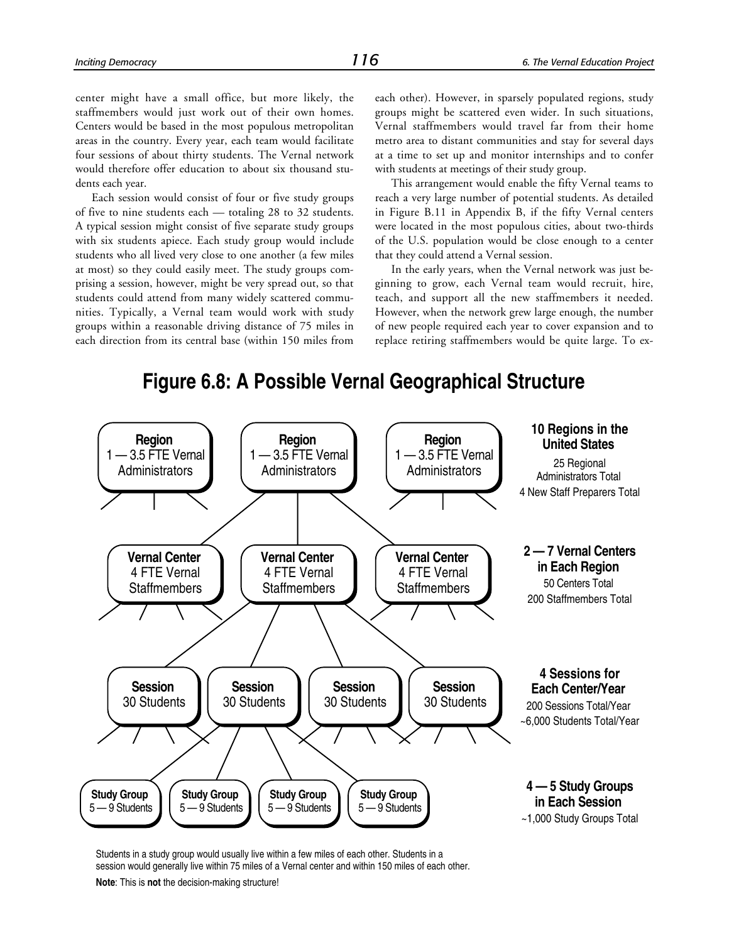center might have a small office, but more likely, the staffmembers would just work out of their own homes. Centers would be based in the most populous metropolitan areas in the country. Every year, each team would facilitate four sessions of about thirty students. The Vernal network would therefore offer education to about six thousand students each year.

Each session would consist of four or five study groups of five to nine students each — totaling 28 to 32 students. A typical session might consist of five separate study groups with six students apiece. Each study group would include students who all lived very close to one another (a few miles at most) so they could easily meet. The study groups comprising a session, however, might be very spread out, so that students could attend from many widely scattered communities. Typically, a Vernal team would work with study groups within a reasonable driving distance of 75 miles in each direction from its central base (within 150 miles from

each other). However, in sparsely populated regions, study groups might be scattered even wider. In such situations, Vernal staffmembers would travel far from their home metro area to distant communities and stay for several days at a time to set up and monitor internships and to confer with students at meetings of their study group.

This arrangement would enable the fifty Vernal teams to reach a very large number of potential students. As detailed in Figure B.11 in Appendix B, if the fifty Vernal centers were located in the most populous cities, about two-thirds of the U.S. population would be close enough to a center that they could attend a Vernal session.

In the early years, when the Vernal network was just beginning to grow, each Vernal team would recruit, hire, teach, and support all the new staffmembers it needed. However, when the network grew large enough, the number of new people required each year to cover expansion and to replace retiring staffmembers would be quite large. To ex-

## **Figure 6.8: A Possible Vernal Geographical Structure**



Students in a study group would usually live within a few miles of each other. Students in a session would generally live within 75 miles of a Vernal center and within 150 miles of each other.

**Note**: This is **not** the decision-making structure!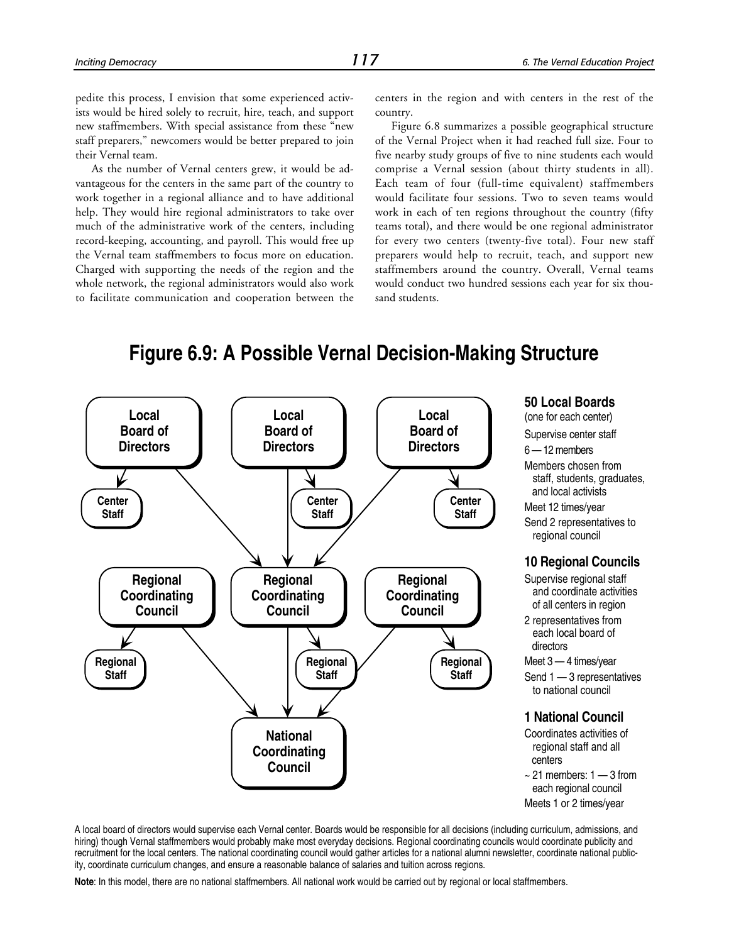pedite this process, I envision that some experienced activists would be hired solely to recruit, hire, teach, and support new staffmembers. With special assistance from these "new staff preparers," newcomers would be better prepared to join their Vernal team.

As the number of Vernal centers grew, it would be advantageous for the centers in the same part of the country to work together in a regional alliance and to have additional help. They would hire regional administrators to take over much of the administrative work of the centers, including record-keeping, accounting, and payroll. This would free up the Vernal team staffmembers to focus more on education. Charged with supporting the needs of the region and the whole network, the regional administrators would also work to facilitate communication and cooperation between the

centers in the region and with centers in the rest of the country.

Figure 6.8 summarizes a possible geographical structure of the Vernal Project when it had reached full size. Four to five nearby study groups of five to nine students each would comprise a Vernal session (about thirty students in all). Each team of four (full-time equivalent) staffmembers would facilitate four sessions. Two to seven teams would work in each of ten regions throughout the country (fifty teams total), and there would be one regional administrator for every two centers (twenty-five total). Four new staff preparers would help to recruit, teach, and support new staffmembers around the country. Overall, Vernal teams would conduct two hundred sessions each year for six thousand students.

## **Figure 6.9: A Possible Vernal Decision-Making Structure**



**50 Local Boards**

(one for each center)

- Supervise center staff
- 6 12 members
- Members chosen from staff, students, graduates, and local activists

Meet 12 times/year

Send 2 representatives to regional council

#### **10 Regional Councils**

- Supervise regional staff and coordinate activities of all centers in region
- 2 representatives from each local board of directors

Meet 3 — 4 times/year

Send 1 — 3 representatives to national council

#### **1 National Council**

- Coordinates activities of regional staff and all centers
- $\sim$  21 members: 1 3 from each regional council Meets 1 or 2 times/year

A local board of directors would supervise each Vernal center. Boards would be responsible for all decisions (including curriculum, admissions, and hiring) though Vernal staffmembers would probably make most everyday decisions. Regional coordinating councils would coordinate publicity and recruitment for the local centers. The national coordinating council would gather articles for a national alumni newsletter, coordinate national publicity, coordinate curriculum changes, and ensure a reasonable balance of salaries and tuition across regions.

**Note**: In this model, there are no national staffmembers. All national work would be carried out by regional or local staffmembers.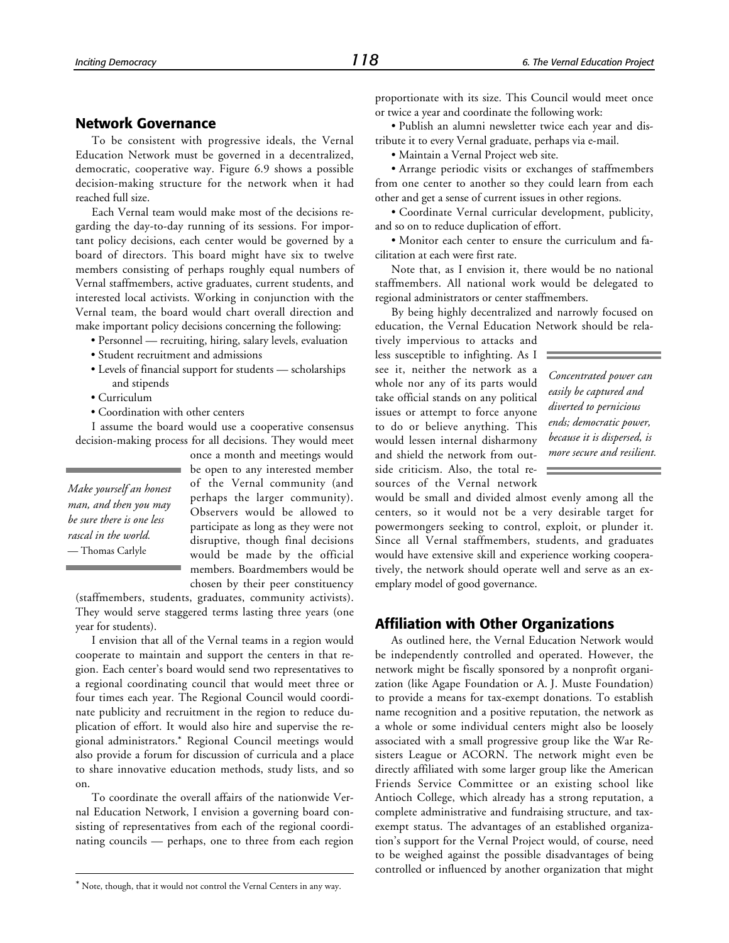#### **Network Governance**

To be consistent with progressive ideals, the Vernal Education Network must be governed in a decentralized, democratic, cooperative way. Figure 6.9 shows a possible decision-making structure for the network when it had reached full size.

Each Vernal team would make most of the decisions regarding the day-to-day running of its sessions. For important policy decisions, each center would be governed by a board of directors. This board might have six to twelve members consisting of perhaps roughly equal numbers of Vernal staffmembers, active graduates, current students, and interested local activists. Working in conjunction with the Vernal team, the board would chart overall direction and make important policy decisions concerning the following:

- Personnel recruiting, hiring, salary levels, evaluation
- Student recruitment and admissions
- Levels of financial support for students scholarships and stipends
- Curriculum
- Coordination with other centers

I assume the board would use a cooperative consensus decision-making process for all decisions. They would meet

*Make yourself an honest man, and then you may be sure there is one less rascal in the world.* — Thomas Carlyle

1

once a month and meetings would be open to any interested member of the Vernal community (and perhaps the larger community). Observers would be allowed to participate as long as they were not disruptive, though final decisions would be made by the official members. Boardmembers would be chosen by their peer constituency

(staffmembers, students, graduates, community activists). They would serve staggered terms lasting three years (one year for students).

I envision that all of the Vernal teams in a region would cooperate to maintain and support the centers in that region. Each center's board would send two representatives to a regional coordinating council that would meet three or four times each year. The Regional Council would coordinate publicity and recruitment in the region to reduce duplication of effort. It would also hire and supervise the regional administrators.\* Regional Council meetings would also provide a forum for discussion of curricula and a place to share innovative education methods, study lists, and so on.

To coordinate the overall affairs of the nationwide Vernal Education Network, I envision a governing board consisting of representatives from each of the regional coordinating councils — perhaps, one to three from each region proportionate with its size. This Council would meet once or twice a year and coordinate the following work:

• Publish an alumni newsletter twice each year and distribute it to every Vernal graduate, perhaps via e-mail.

• Maintain a Vernal Project web site.

• Arrange periodic visits or exchanges of staffmembers from one center to another so they could learn from each other and get a sense of current issues in other regions.

• Coordinate Vernal curricular development, publicity, and so on to reduce duplication of effort.

• Monitor each center to ensure the curriculum and facilitation at each were first rate.

Note that, as I envision it, there would be no national staffmembers. All national work would be delegated to regional administrators or center staffmembers.

By being highly decentralized and narrowly focused on education, the Vernal Education Network should be rela-

tively impervious to attacks and less susceptible to infighting. As I see it, neither the network as a whole nor any of its parts would take official stands on any political issues or attempt to force anyone to do or believe anything. This would lessen internal disharmony and shield the network from outside criticism. Also, the total resources of the Vernal network

*Concentrated power can easily be captured and diverted to pernicious ends; democratic power, because it is dispersed, is more secure and resilient.*

would be small and divided almost evenly among all the centers, so it would not be a very desirable target for powermongers seeking to control, exploit, or plunder it. Since all Vernal staffmembers, students, and graduates would have extensive skill and experience working cooperatively, the network should operate well and serve as an exemplary model of good governance.

#### **Affiliation with Other Organizations**

As outlined here, the Vernal Education Network would be independently controlled and operated. However, the network might be fiscally sponsored by a nonprofit organization (like Agape Foundation or A. J. Muste Foundation) to provide a means for tax-exempt donations. To establish name recognition and a positive reputation, the network as a whole or some individual centers might also be loosely associated with a small progressive group like the War Resisters League or ACORN. The network might even be directly affiliated with some larger group like the American Friends Service Committee or an existing school like Antioch College, which already has a strong reputation, a complete administrative and fundraising structure, and taxexempt status. The advantages of an established organization's support for the Vernal Project would, of course, need to be weighed against the possible disadvantages of being controlled or influenced by another organization that might

<sup>\*</sup> Note, though, that it would not control the Vernal Centers in any way.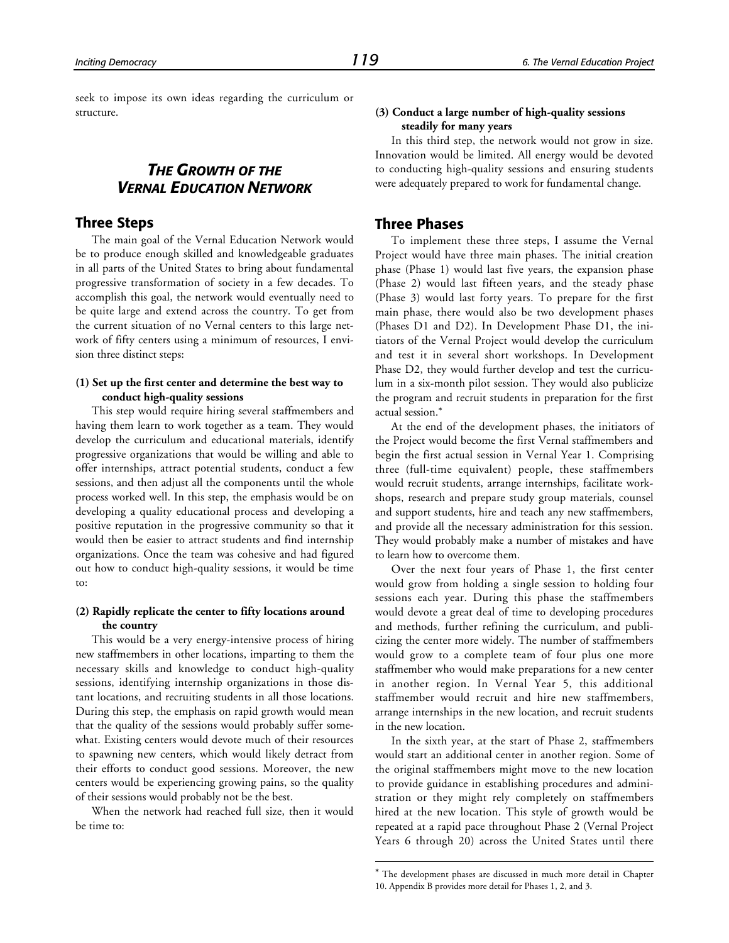seek to impose its own ideas regarding the curriculum or structure.

## *THE GROWTH OF THE VERNAL EDUCATION NETWORK*

#### **Three Steps**

The main goal of the Vernal Education Network would be to produce enough skilled and knowledgeable graduates in all parts of the United States to bring about fundamental progressive transformation of society in a few decades. To accomplish this goal, the network would eventually need to be quite large and extend across the country. To get from the current situation of no Vernal centers to this large network of fifty centers using a minimum of resources, I envision three distinct steps:

#### **(1) Set up the first center and determine the best way to conduct high-quality sessions**

This step would require hiring several staffmembers and having them learn to work together as a team. They would develop the curriculum and educational materials, identify progressive organizations that would be willing and able to offer internships, attract potential students, conduct a few sessions, and then adjust all the components until the whole process worked well. In this step, the emphasis would be on developing a quality educational process and developing a positive reputation in the progressive community so that it would then be easier to attract students and find internship organizations. Once the team was cohesive and had figured out how to conduct high-quality sessions, it would be time to:

#### **(2) Rapidly replicate the center to fifty locations around the country**

This would be a very energy-intensive process of hiring new staffmembers in other locations, imparting to them the necessary skills and knowledge to conduct high-quality sessions, identifying internship organizations in those distant locations, and recruiting students in all those locations. During this step, the emphasis on rapid growth would mean that the quality of the sessions would probably suffer somewhat. Existing centers would devote much of their resources to spawning new centers, which would likely detract from their efforts to conduct good sessions. Moreover, the new centers would be experiencing growing pains, so the quality of their sessions would probably not be the best.

When the network had reached full size, then it would be time to:

#### **(3) Conduct a large number of high-quality sessions steadily for many years**

In this third step, the network would not grow in size. Innovation would be limited. All energy would be devoted to conducting high-quality sessions and ensuring students were adequately prepared to work for fundamental change.

#### **Three Phases**

To implement these three steps, I assume the Vernal Project would have three main phases. The initial creation phase (Phase 1) would last five years, the expansion phase (Phase 2) would last fifteen years, and the steady phase (Phase 3) would last forty years. To prepare for the first main phase, there would also be two development phases (Phases D1 and D2). In Development Phase D1, the initiators of the Vernal Project would develop the curriculum and test it in several short workshops. In Development Phase D2, they would further develop and test the curriculum in a six-month pilot session. They would also publicize the program and recruit students in preparation for the first actual session.\*

At the end of the development phases, the initiators of the Project would become the first Vernal staffmembers and begin the first actual session in Vernal Year 1. Comprising three (full-time equivalent) people, these staffmembers would recruit students, arrange internships, facilitate workshops, research and prepare study group materials, counsel and support students, hire and teach any new staffmembers, and provide all the necessary administration for this session. They would probably make a number of mistakes and have to learn how to overcome them.

Over the next four years of Phase 1, the first center would grow from holding a single session to holding four sessions each year. During this phase the staffmembers would devote a great deal of time to developing procedures and methods, further refining the curriculum, and publicizing the center more widely. The number of staffmembers would grow to a complete team of four plus one more staffmember who would make preparations for a new center in another region. In Vernal Year 5, this additional staffmember would recruit and hire new staffmembers, arrange internships in the new location, and recruit students in the new location.

In the sixth year, at the start of Phase 2, staffmembers would start an additional center in another region. Some of the original staffmembers might move to the new location to provide guidance in establishing procedures and administration or they might rely completely on staffmembers hired at the new location. This style of growth would be repeated at a rapid pace throughout Phase 2 (Vernal Project Years 6 through 20) across the United States until there

l

<sup>\*</sup> The development phases are discussed in much more detail in Chapter 10. Appendix B provides more detail for Phases 1, 2, and 3.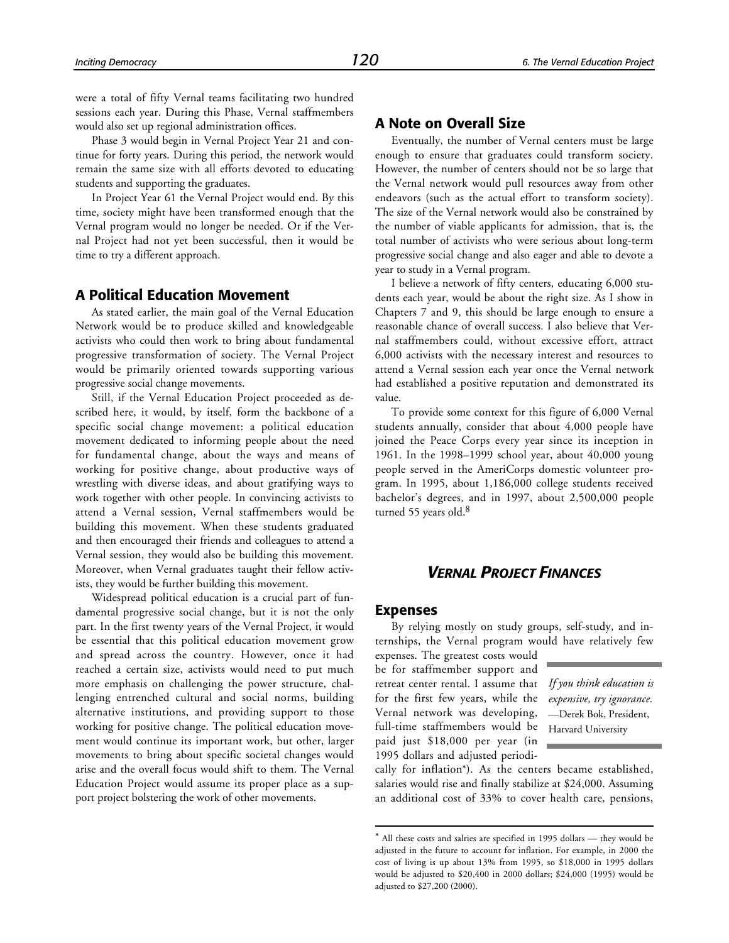were a total of fifty Vernal teams facilitating two hundred sessions each year. During this Phase, Vernal staffmembers would also set up regional administration offices.

Phase 3 would begin in Vernal Project Year 21 and continue for forty years. During this period, the network would remain the same size with all efforts devoted to educating students and supporting the graduates.

In Project Year 61 the Vernal Project would end. By this time, society might have been transformed enough that the Vernal program would no longer be needed. Or if the Vernal Project had not yet been successful, then it would be time to try a different approach.

#### **A Political Education Movement**

As stated earlier, the main goal of the Vernal Education Network would be to produce skilled and knowledgeable activists who could then work to bring about fundamental progressive transformation of society. The Vernal Project would be primarily oriented towards supporting various progressive social change movements.

Still, if the Vernal Education Project proceeded as described here, it would, by itself, form the backbone of a specific social change movement: a political education movement dedicated to informing people about the need for fundamental change, about the ways and means of working for positive change, about productive ways of wrestling with diverse ideas, and about gratifying ways to work together with other people. In convincing activists to attend a Vernal session, Vernal staffmembers would be building this movement. When these students graduated and then encouraged their friends and colleagues to attend a Vernal session, they would also be building this movement. Moreover, when Vernal graduates taught their fellow activists, they would be further building this movement.

Widespread political education is a crucial part of fundamental progressive social change, but it is not the only part. In the first twenty years of the Vernal Project, it would be essential that this political education movement grow and spread across the country. However, once it had reached a certain size, activists would need to put much more emphasis on challenging the power structure, challenging entrenched cultural and social norms, building alternative institutions, and providing support to those working for positive change. The political education movement would continue its important work, but other, larger movements to bring about specific societal changes would arise and the overall focus would shift to them. The Vernal Education Project would assume its proper place as a support project bolstering the work of other movements.

## **A Note on Overall Size**

Eventually, the number of Vernal centers must be large enough to ensure that graduates could transform society. However, the number of centers should not be so large that the Vernal network would pull resources away from other endeavors (such as the actual effort to transform society). The size of the Vernal network would also be constrained by the number of viable applicants for admission, that is, the total number of activists who were serious about long-term progressive social change and also eager and able to devote a year to study in a Vernal program.

I believe a network of fifty centers, educating 6,000 students each year, would be about the right size. As I show in Chapters 7 and 9, this should be large enough to ensure a reasonable chance of overall success. I also believe that Vernal staffmembers could, without excessive effort, attract 6,000 activists with the necessary interest and resources to attend a Vernal session each year once the Vernal network had established a positive reputation and demonstrated its value.

To provide some context for this figure of 6,000 Vernal students annually, consider that about 4,000 people have joined the Peace Corps every year since its inception in 1961. In the 1998–1999 school year, about 40,000 young people served in the AmeriCorps domestic volunteer program. In 1995, about 1,186,000 college students received bachelor's degrees, and in 1997, about 2,500,000 people turned 55 years old.<sup>8</sup>

#### *VERNAL PROJECT FINANCES*

#### **Expenses**

l

By relying mostly on study groups, self-study, and internships, the Vernal program would have relatively few

expenses. The greatest costs would be for staffmember support and retreat center rental. I assume that for the first few years, while the Vernal network was developing, full-time staffmembers would be paid just \$18,000 per year (in 1995 dollars and adjusted periodi-

*If you think education is expensive, try ignorance.* —Derek Bok, President, Harvard University

cally for inflation\*). As the centers became established, salaries would rise and finally stabilize at \$24,000. Assuming an additional cost of 33% to cover health care, pensions,

<sup>\*</sup> All these costs and salries are specified in 1995 dollars — they would be adjusted in the future to account for inflation. For example, in 2000 the cost of living is up about 13% from 1995, so \$18,000 in 1995 dollars would be adjusted to \$20,400 in 2000 dollars; \$24,000 (1995) would be adjusted to \$27,200 (2000).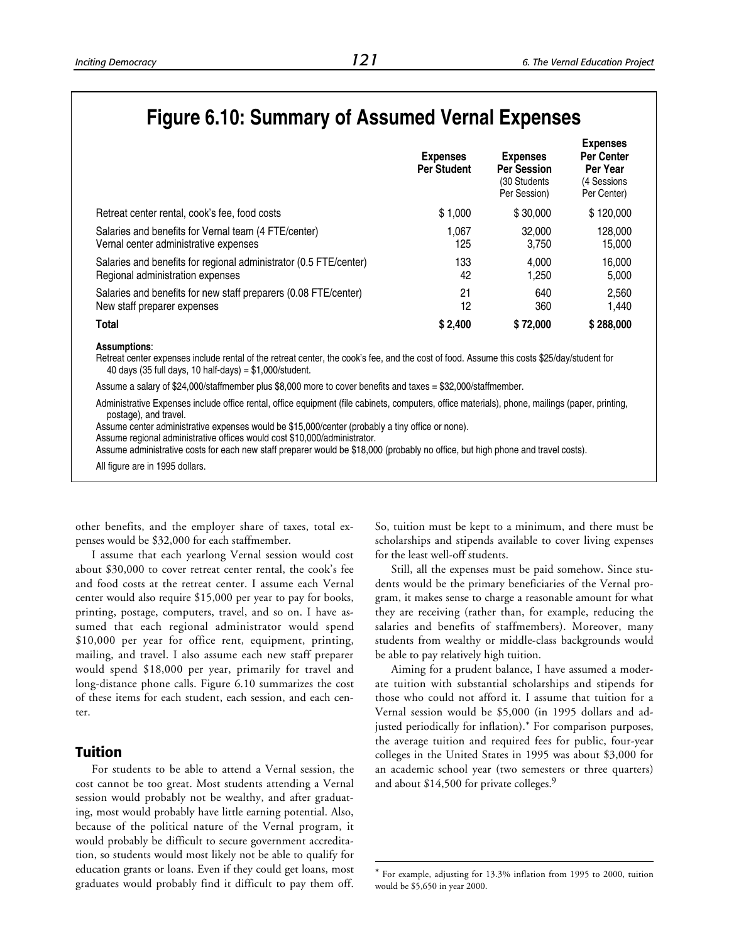# **Figure 6.10: Summary of Assumed Vernal Expenses**

|                                                                   | <b>Expenses</b><br><b>Per Student</b> | <b>Expenses</b><br><b>Per Session</b><br>(30 Students)<br>Per Session) | <b>Expenses</b><br><b>Per Center</b><br>Per Year<br>(4 Sessions<br>Per Center) |
|-------------------------------------------------------------------|---------------------------------------|------------------------------------------------------------------------|--------------------------------------------------------------------------------|
| Retreat center rental, cook's fee, food costs                     | \$1.000                               | \$30,000                                                               | \$120,000                                                                      |
| Salaries and benefits for Vernal team (4 FTE/center)              | 1.067                                 | 32,000                                                                 | 128,000                                                                        |
| Vernal center administrative expenses                             | 125                                   | 3,750                                                                  | 15,000                                                                         |
| Salaries and benefits for regional administrator (0.5 FTE/center) | 133                                   | 4.000                                                                  | 16,000                                                                         |
| Regional administration expenses                                  | 42                                    | 1,250                                                                  | 5,000                                                                          |
| Salaries and benefits for new staff preparers (0.08 FTE/center)   | 21                                    | 640                                                                    | 2.560                                                                          |
| New staff preparer expenses                                       | 12                                    | 360                                                                    | 1.440                                                                          |
| <b>Total</b>                                                      | \$2,400                               | \$72,000                                                               | \$288,000                                                                      |

**Assumptions**:

Retreat center expenses include rental of the retreat center, the cook's fee, and the cost of food. Assume this costs \$25/day/student for 40 days (35 full days, 10 half-days) = \$1,000/student.

Assume a salary of \$24,000/staffmember plus \$8,000 more to cover benefits and taxes = \$32,000/staffmember.

Administrative Expenses include office rental, office equipment (file cabinets, computers, office materials), phone, mailings (paper, printing, postage), and travel.

l

Assume center administrative expenses would be \$15,000/center (probably a tiny office or none).

Assume regional administrative offices would cost \$10,000/administrator.

Assume administrative costs for each new staff preparer would be \$18,000 (probably no office, but high phone and travel costs).

All figure are in 1995 dollars.

other benefits, and the employer share of taxes, total expenses would be \$32,000 for each staffmember.

I assume that each yearlong Vernal session would cost about \$30,000 to cover retreat center rental, the cook's fee and food costs at the retreat center. I assume each Vernal center would also require \$15,000 per year to pay for books, printing, postage, computers, travel, and so on. I have assumed that each regional administrator would spend \$10,000 per year for office rent, equipment, printing, mailing, and travel. I also assume each new staff preparer would spend \$18,000 per year, primarily for travel and long-distance phone calls. Figure 6.10 summarizes the cost of these items for each student, each session, and each center.

#### **Tuition**

For students to be able to attend a Vernal session, the cost cannot be too great. Most students attending a Vernal session would probably not be wealthy, and after graduating, most would probably have little earning potential. Also, because of the political nature of the Vernal program, it would probably be difficult to secure government accreditation, so students would most likely not be able to qualify for education grants or loans. Even if they could get loans, most graduates would probably find it difficult to pay them off.

So, tuition must be kept to a minimum, and there must be scholarships and stipends available to cover living expenses for the least well-off students.

Still, all the expenses must be paid somehow. Since students would be the primary beneficiaries of the Vernal program, it makes sense to charge a reasonable amount for what they are receiving (rather than, for example, reducing the salaries and benefits of staffmembers). Moreover, many students from wealthy or middle-class backgrounds would be able to pay relatively high tuition.

Aiming for a prudent balance, I have assumed a moderate tuition with substantial scholarships and stipends for those who could not afford it. I assume that tuition for a Vernal session would be \$5,000 (in 1995 dollars and adjusted periodically for inflation).\* For comparison purposes, the average tuition and required fees for public, four-year colleges in the United States in 1995 was about \$3,000 for an academic school year (two semesters or three quarters) and about \$14,500 for private colleges.<sup>9</sup>

<sup>\*</sup> For example, adjusting for 13.3% inflation from 1995 to 2000, tuition would be \$5,650 in year 2000.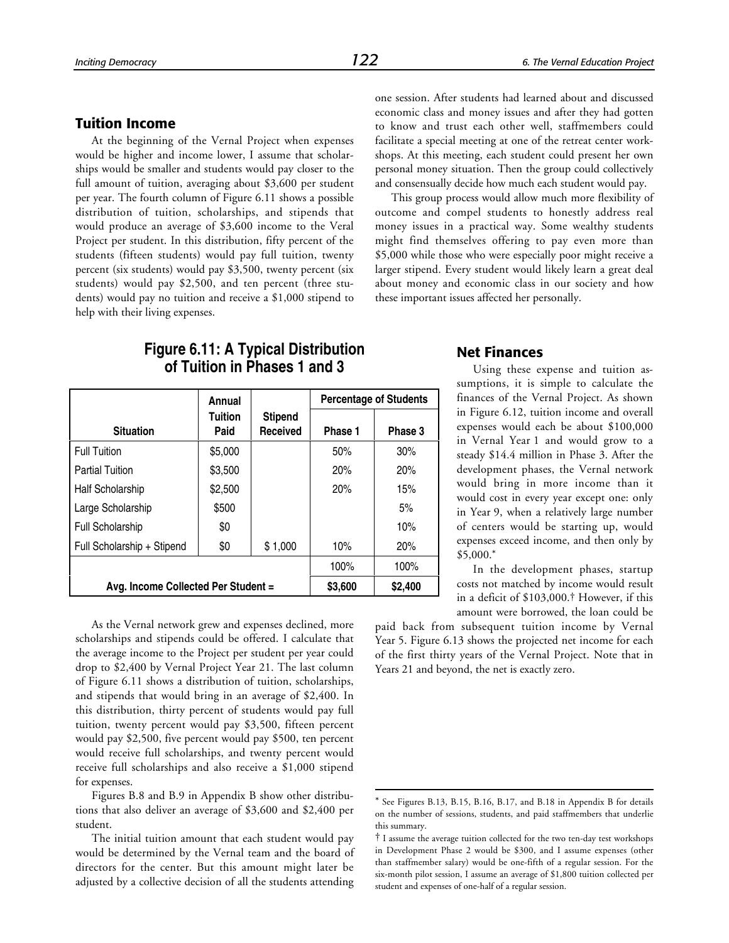## **Tuition Income**

At the beginning of the Vernal Project when expenses would be higher and income lower, I assume that scholarships would be smaller and students would pay closer to the full amount of tuition, averaging about \$3,600 per student per year. The fourth column of Figure 6.11 shows a possible distribution of tuition, scholarships, and stipends that would produce an average of \$3,600 income to the Veral Project per student. In this distribution, fifty percent of the students (fifteen students) would pay full tuition, twenty percent (six students) would pay \$3,500, twenty percent (six students) would pay \$2,500, and ten percent (three students) would pay no tuition and receive a \$1,000 stipend to help with their living expenses.

## **Figure 6.11: A Typical Distribution of Tuition in Phases 1 and 3**

|                                     | Annual          |                            |         | <b>Percentage of Students</b> |
|-------------------------------------|-----------------|----------------------------|---------|-------------------------------|
| <b>Situation</b>                    | Tuition<br>Paid | <b>Stipend</b><br>Received | Phase 1 | Phase 3                       |
| <b>Full Tuition</b>                 | \$5,000         |                            | 50%     | 30%                           |
| <b>Partial Tuition</b>              | \$3,500         |                            | 20%     | 20%                           |
| <b>Half Scholarship</b>             | \$2,500         |                            | 20%     | 15%                           |
| Large Scholarship                   | \$500           |                            |         | 5%                            |
| <b>Full Scholarship</b>             | \$0             |                            |         | 10%                           |
| Full Scholarship + Stipend          | \$0             | \$1,000                    | 10%     | 20%                           |
|                                     | 100%            | 100%                       |         |                               |
| Avg. Income Collected Per Student = |                 |                            | \$3,600 | \$2,400                       |

As the Vernal network grew and expenses declined, more scholarships and stipends could be offered. I calculate that the average income to the Project per student per year could drop to \$2,400 by Vernal Project Year 21. The last column of Figure 6.11 shows a distribution of tuition, scholarships, and stipends that would bring in an average of \$2,400. In this distribution, thirty percent of students would pay full tuition, twenty percent would pay \$3,500, fifteen percent would pay \$2,500, five percent would pay \$500, ten percent would receive full scholarships, and twenty percent would receive full scholarships and also receive a \$1,000 stipend for expenses.

Figures B.8 and B.9 in Appendix B show other distributions that also deliver an average of \$3,600 and \$2,400 per student.

The initial tuition amount that each student would pay would be determined by the Vernal team and the board of directors for the center. But this amount might later be adjusted by a collective decision of all the students attending

one session. After students had learned about and discussed economic class and money issues and after they had gotten to know and trust each other well, staffmembers could facilitate a special meeting at one of the retreat center workshops. At this meeting, each student could present her own personal money situation. Then the group could collectively and consensually decide how much each student would pay.

This group process would allow much more flexibility of outcome and compel students to honestly address real money issues in a practical way. Some wealthy students might find themselves offering to pay even more than \$5,000 while those who were especially poor might receive a larger stipend. Every student would likely learn a great deal about money and economic class in our society and how these important issues affected her personally.

#### **Net Finances**

Using these expense and tuition assumptions, it is simple to calculate the finances of the Vernal Project. As shown in Figure 6.12, tuition income and overall expenses would each be about \$100,000 in Vernal Year 1 and would grow to a steady \$14.4 million in Phase 3. After the development phases, the Vernal network would bring in more income than it would cost in every year except one: only in Year 9, when a relatively large number of centers would be starting up, would expenses exceed income, and then only by \$5,000.\*

In the development phases, startup costs not matched by income would result in a deficit of \$103,000.† However, if this amount were borrowed, the loan could be

paid back from subsequent tuition income by Vernal Year 5. Figure 6.13 shows the projected net income for each of the first thirty years of the Vernal Project. Note that in Years 21 and beyond, the net is exactly zero.

 $\overline{a}$ 

See Figures B.13, B.15, B.16, B.17, and B.18 in Appendix B for details on the number of sessions, students, and paid staffmembers that underlie this summary.

<sup>†</sup> I assume the average tuition collected for the two ten-day test workshops in Development Phase 2 would be \$300, and I assume expenses (other than staffmember salary) would be one-fifth of a regular session. For the six-month pilot session, I assume an average of \$1,800 tuition collected per student and expenses of one-half of a regular session.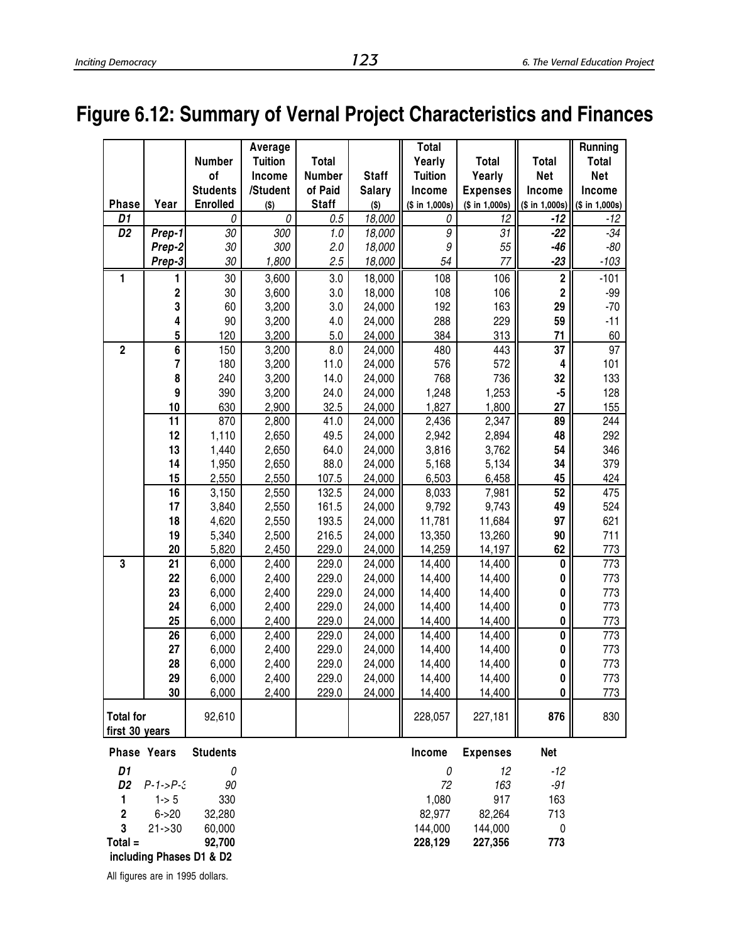# **Figure 6.12: Summary of Vernal Project Characteristics and Finances**

|                                    |                         | Number          | Average<br><b>Tuition</b> | <b>Total</b> |               | <b>Total</b><br>Yearly | <b>Total</b>    | <b>Total</b>            | Running<br><b>Total</b> |
|------------------------------------|-------------------------|-----------------|---------------------------|--------------|---------------|------------------------|-----------------|-------------------------|-------------------------|
|                                    |                         | of              | Income                    | Number       | <b>Staff</b>  | <b>Tuition</b>         | Yearly          | <b>Net</b>              | <b>Net</b>              |
|                                    |                         | <b>Students</b> | /Student                  | of Paid      | <b>Salary</b> | Income                 | <b>Expenses</b> | Income                  | Income                  |
| <b>Phase</b>                       | Year                    | <b>Enrolled</b> | $($ \$)                   | <b>Staff</b> | $($ \$)       | (\$ in 1,000s)         | (\$ in 1,000s)  | (\$ in 1,000s)          | (\$ in 1,000s)          |
| D1                                 |                         | 0               | 0                         | 0.5          | 18,000        | 0                      | 12              | $-12$                   | $-12$                   |
| D <sub>2</sub>                     | Prep-1                  | 30              | 300                       | 1.0          | 18,000        | 9                      | 31              | $-22$                   | $-34$                   |
|                                    | Prep-2                  | 30              | 300                       | 2.0          | 18,000        | 9                      | 55              | $-46$                   | $-80$                   |
|                                    | Prep-3                  | 30              | 1,800                     | 2.5          | 18,000        | 54                     | 77              | $-23$                   | $-103$                  |
| 1                                  | 1                       | 30              | 3,600                     | 3.0          | 18,000        | 108                    | 106             | $\bf 2$                 | $-101$                  |
|                                    | $\overline{\mathbf{c}}$ | 30              | 3,600                     | 3.0          | 18,000        | 108                    | 106             | $\overline{\mathbf{c}}$ | $-99$                   |
|                                    | 3                       | 60              | 3,200                     | 3.0          | 24,000        | 192                    | 163             | 29                      | $-70$                   |
|                                    | 4                       | 90              | 3,200                     | 4.0          | 24,000        | 288                    | 229             | 59                      | $-11$                   |
|                                    | 5                       | 120             | 3,200                     | 5.0          | 24,000        | 384                    | 313             | 71                      | 60                      |
| $\overline{2}$                     | $\overline{\mathbf{6}}$ | 150             | 3,200                     | 8.0          | 24,000        | 480                    | 443             | $\overline{37}$         | 97                      |
|                                    | 7                       | 180             | 3,200                     | 11.0         | 24,000        | 576                    | 572             | 4                       | 101                     |
|                                    | 8                       | 240             | 3,200                     | 14.0         | 24,000        | 768                    | 736             | 32                      | 133                     |
|                                    | 9                       | 390             | 3,200                     | 24.0         | 24,000        | 1,248                  | 1,253           | $-5$                    | 128                     |
|                                    | 10                      | 630             | 2,900                     | 32.5         | 24,000        | 1,827                  | 1,800           | 27                      | 155                     |
|                                    | 11                      | 870             | 2,800                     | 41.0         | 24,000        | 2,436                  | 2,347           | 89                      | 244                     |
|                                    | 12                      | 1,110           | 2,650                     | 49.5         | 24,000        | 2,942                  | 2,894           | 48                      | 292                     |
|                                    | 13                      | 1,440           | 2,650                     | 64.0         | 24,000        | 3,816                  | 3,762           | 54                      | 346                     |
|                                    | 14                      | 1,950           | 2,650                     | 88.0         | 24,000        | 5,168                  | 5,134           | 34                      | 379                     |
|                                    | 15                      | 2,550           | 2,550                     | 107.5        | 24,000        | 6,503                  | 6,458           | 45                      | 424                     |
|                                    | 16                      | 3,150           | 2,550                     | 132.5        | 24,000        | 8,033                  | 7,981           | 52                      | 475                     |
|                                    | 17                      | 3,840           | 2,550                     | 161.5        | 24,000        | 9,792                  | 9,743           | 49                      | 524                     |
|                                    | 18                      | 4,620           | 2,550                     | 193.5        | 24,000        | 11,781                 | 11,684          | 97                      | 621                     |
|                                    | 19                      | 5,340           | 2,500                     | 216.5        | 24,000        | 13,350                 | 13,260          | 90                      | 711                     |
|                                    | 20                      | 5,820           | 2,450                     | 229.0        | 24,000        | 14,259                 | 14,197          | 62                      | 773                     |
| $\overline{\mathbf{3}}$            | $\overline{21}$         | 6,000           | 2,400                     | 229.0        | 24,000        | 14,400                 | 14,400          | $\pmb{0}$               | 773                     |
|                                    | 22                      | 6,000           | 2,400                     | 229.0        | 24,000        | 14,400                 | 14,400          | 0                       | 773                     |
|                                    | 23                      | 6,000           | 2,400                     | 229.0        | 24,000        | 14,400                 | 14,400          | 0                       | 773                     |
|                                    | 24                      | 6,000           | 2,400                     | 229.0        | 24,000        | 14,400                 | 14,400          | 0                       | 773                     |
|                                    | 25                      | 6,000           | 2,400                     | 229.0        | 24,000        | 14,400                 | 14,400          | 0                       | <u>773</u>              |
|                                    | 26                      | 6,000           | 2,400                     | 229.0        | 24,000        | 14,400                 | 14,400          | $\overline{\textbf{0}}$ | $\frac{1}{773}$         |
|                                    | 27                      | 6,000           | 2,400                     | 229.0        | 24,000        | 14,400                 | 14,400          | $\pmb{0}$               | 773                     |
|                                    | 28                      | 6,000           | 2,400                     | 229.0        | 24,000        | 14,400                 | 14,400          | $\pmb{0}$               | 773                     |
|                                    | 29                      | 6,000           | 2,400                     | 229.0        | 24,000        | 14,400                 | 14,400          | $\mathbf{0}$            | 773                     |
|                                    | 30                      | 6,000           | 2,400                     | 229.0        | 24,000        | 14,400                 | 14,400          | 0                       | 773                     |
| <b>Total for</b><br>first 30 years |                         | 92,610          |                           |              |               | 228,057                | 227,181         | 876                     | 830                     |
|                                    | Phase Years             | <b>Students</b> |                           |              |               | Income                 | <b>Expenses</b> | <b>Net</b>              |                         |
| D1                                 |                         | 0               |                           |              |               | 0                      | 12              | $-12$                   |                         |
| D <sub>2</sub>                     | $P-1-P-3$               | 90              |                           |              |               | 72                     | 163             | $-91$                   |                         |
| 1                                  | $1 - 5$                 | 330             |                           |              |               | 1,080                  | 917             | 163                     |                         |
| $\bf 2$                            | $6 - > 20$              | 32,280          |                           |              |               | 82,977                 | 82,264          | 713                     |                         |
| 3                                  | $21 - 30$               | 60,000          |                           |              |               | 144,000                | 144,000         | $\pmb{0}$               |                         |

**Total = 92,700 228,129 227,356 773** 

 **including Phases D1 & D2** All figures are in 1995 dollars.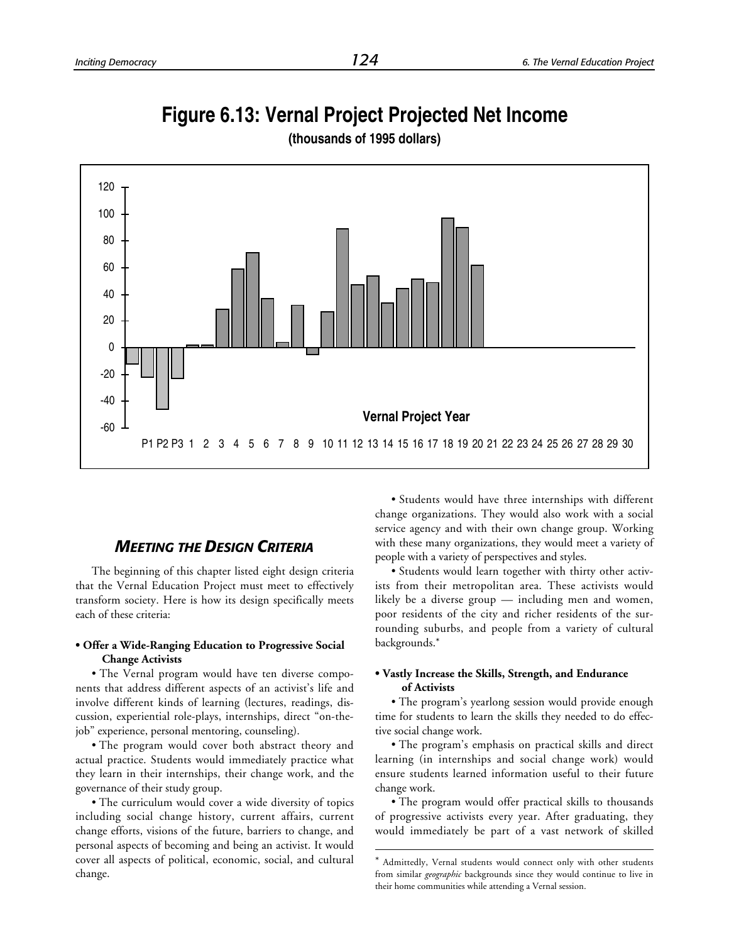## **Figure 6.13: Vernal Project Projected Net Income**



l

**(thousands of 1995 dollars)**

## *MEETING THE DESIGN CRITERIA*

The beginning of this chapter listed eight design criteria that the Vernal Education Project must meet to effectively transform society. Here is how its design specifically meets each of these criteria:

#### **• Offer a Wide-Ranging Education to Progressive Social Change Activists**

• The Vernal program would have ten diverse components that address different aspects of an activist's life and involve different kinds of learning (lectures, readings, discussion, experiential role-plays, internships, direct "on-thejob" experience, personal mentoring, counseling).

• The program would cover both abstract theory and actual practice. Students would immediately practice what they learn in their internships, their change work, and the governance of their study group.

• The curriculum would cover a wide diversity of topics including social change history, current affairs, current change efforts, visions of the future, barriers to change, and personal aspects of becoming and being an activist. It would cover all aspects of political, economic, social, and cultural change.

• Students would have three internships with different change organizations. They would also work with a social service agency and with their own change group. Working with these many organizations, they would meet a variety of people with a variety of perspectives and styles.

• Students would learn together with thirty other activists from their metropolitan area. These activists would likely be a diverse group — including men and women, poor residents of the city and richer residents of the surrounding suburbs, and people from a variety of cultural backgrounds.\*

#### **• Vastly Increase the Skills, Strength, and Endurance of Activists**

• The program's yearlong session would provide enough time for students to learn the skills they needed to do effective social change work.

• The program's emphasis on practical skills and direct learning (in internships and social change work) would ensure students learned information useful to their future change work.

• The program would offer practical skills to thousands of progressive activists every year. After graduating, they would immediately be part of a vast network of skilled

Admittedly, Vernal students would connect only with other students from similar *geographic* backgrounds since they would continue to live in their home communities while attending a Vernal session.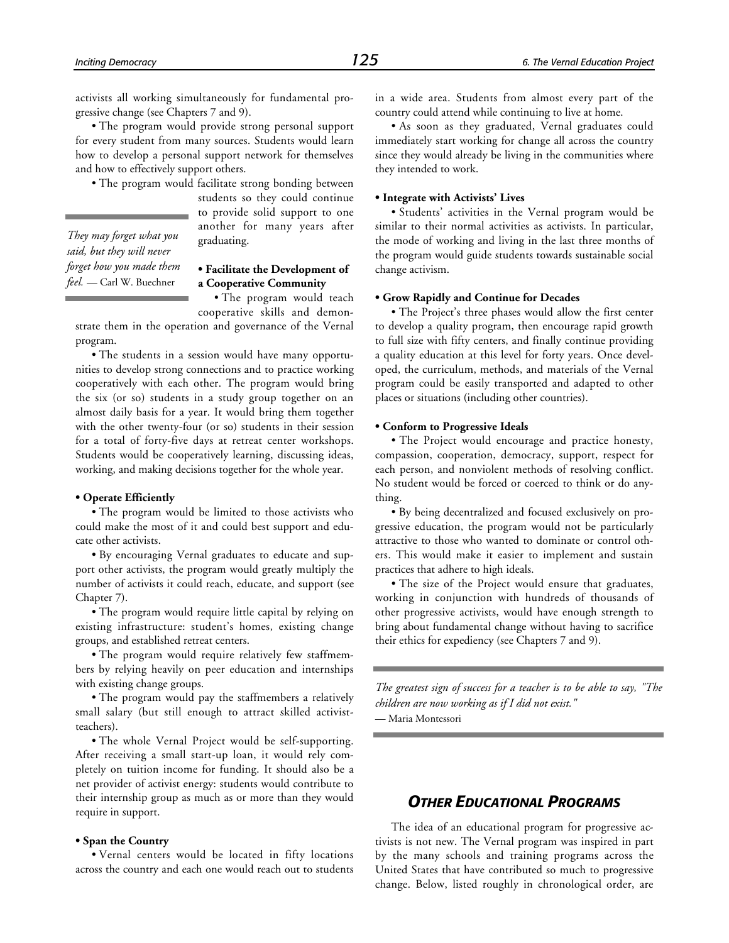*They may forget what you said, but they will never forget how you made them feel.* — Carl W. Buechner

activists all working simultaneously for fundamental progressive change (see Chapters 7 and 9).

• The program would provide strong personal support for every student from many sources. Students would learn how to develop a personal support network for themselves and how to effectively support others.

• The program would facilitate strong bonding between

students so they could continue to provide solid support to one another for many years after graduating.

#### **• Facilitate the Development of a Cooperative Community**

• The program would teach

cooperative skills and demonstrate them in the operation and governance of the Vernal program.

• The students in a session would have many opportunities to develop strong connections and to practice working cooperatively with each other. The program would bring the six (or so) students in a study group together on an almost daily basis for a year. It would bring them together with the other twenty-four (or so) students in their session for a total of forty-five days at retreat center workshops. Students would be cooperatively learning, discussing ideas, working, and making decisions together for the whole year.

#### **• Operate Efficiently**

• The program would be limited to those activists who could make the most of it and could best support and educate other activists.

• By encouraging Vernal graduates to educate and support other activists, the program would greatly multiply the number of activists it could reach, educate, and support (see Chapter 7).

• The program would require little capital by relying on existing infrastructure: student's homes, existing change groups, and established retreat centers.

• The program would require relatively few staffmembers by relying heavily on peer education and internships with existing change groups.

• The program would pay the staffmembers a relatively small salary (but still enough to attract skilled activistteachers).

• The whole Vernal Project would be self-supporting. After receiving a small start-up loan, it would rely completely on tuition income for funding. It should also be a net provider of activist energy: students would contribute to their internship group as much as or more than they would require in support.

#### **• Span the Country**

• Vernal centers would be located in fifty locations across the country and each one would reach out to students in a wide area. Students from almost every part of the country could attend while continuing to live at home.

• As soon as they graduated, Vernal graduates could immediately start working for change all across the country since they would already be living in the communities where they intended to work.

#### **• Integrate with Activists' Lives**

• Students' activities in the Vernal program would be similar to their normal activities as activists. In particular, the mode of working and living in the last three months of the program would guide students towards sustainable social change activism.

#### **• Grow Rapidly and Continue for Decades**

• The Project's three phases would allow the first center to develop a quality program, then encourage rapid growth to full size with fifty centers, and finally continue providing a quality education at this level for forty years. Once developed, the curriculum, methods, and materials of the Vernal program could be easily transported and adapted to other places or situations (including other countries).

#### **• Conform to Progressive Ideals**

• The Project would encourage and practice honesty, compassion, cooperation, democracy, support, respect for each person, and nonviolent methods of resolving conflict. No student would be forced or coerced to think or do anything.

• By being decentralized and focused exclusively on progressive education, the program would not be particularly attractive to those who wanted to dominate or control others. This would make it easier to implement and sustain practices that adhere to high ideals.

• The size of the Project would ensure that graduates, working in conjunction with hundreds of thousands of other progressive activists, would have enough strength to bring about fundamental change without having to sacrifice their ethics for expediency (see Chapters 7 and 9).

*The greatest sign of success for a teacher is to be able to say, "The children are now working as if I did not exist."*

— Maria Montessori

## *OTHER EDUCATIONAL PROGRAMS*

The idea of an educational program for progressive activists is not new. The Vernal program was inspired in part by the many schools and training programs across the United States that have contributed so much to progressive change. Below, listed roughly in chronological order, are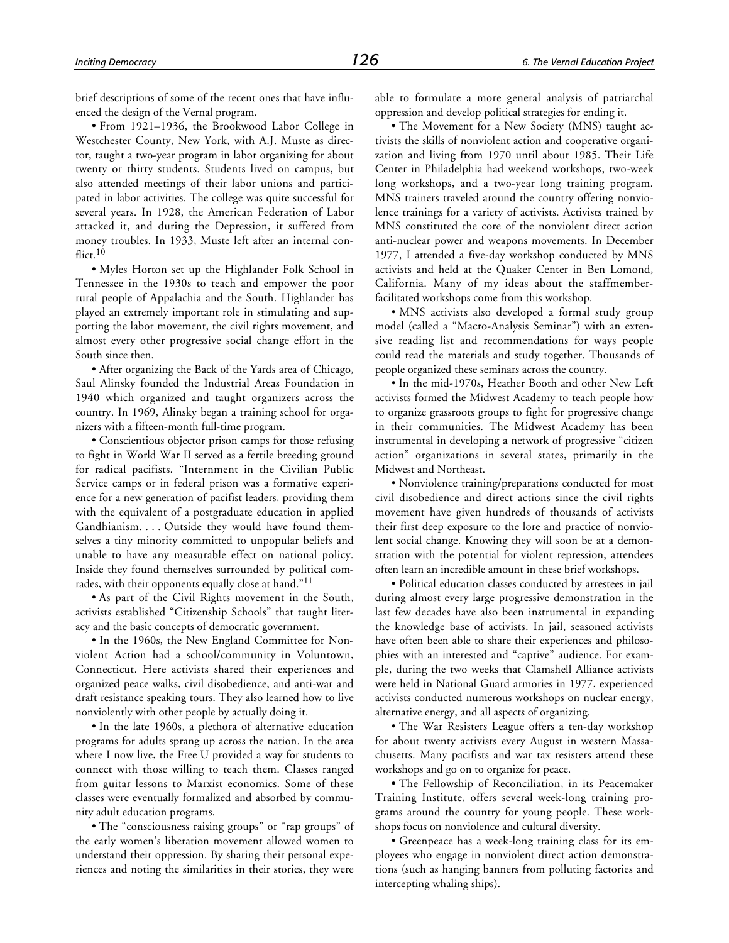brief descriptions of some of the recent ones that have influenced the design of the Vernal program.

• From 1921–1936, the Brookwood Labor College in Westchester County, New York, with A.J. Muste as director, taught a two-year program in labor organizing for about twenty or thirty students. Students lived on campus, but also attended meetings of their labor unions and participated in labor activities. The college was quite successful for several years. In 1928, the American Federation of Labor attacked it, and during the Depression, it suffered from money troubles. In 1933, Muste left after an internal conflict.<sup>10</sup>

• Myles Horton set up the Highlander Folk School in Tennessee in the 1930s to teach and empower the poor rural people of Appalachia and the South. Highlander has played an extremely important role in stimulating and supporting the labor movement, the civil rights movement, and almost every other progressive social change effort in the South since then.

• After organizing the Back of the Yards area of Chicago, Saul Alinsky founded the Industrial Areas Foundation in 1940 which organized and taught organizers across the country. In 1969, Alinsky began a training school for organizers with a fifteen-month full-time program.

• Conscientious objector prison camps for those refusing to fight in World War II served as a fertile breeding ground for radical pacifists. "Internment in the Civilian Public Service camps or in federal prison was a formative experience for a new generation of pacifist leaders, providing them with the equivalent of a postgraduate education in applied Gandhianism. . . . Outside they would have found themselves a tiny minority committed to unpopular beliefs and unable to have any measurable effect on national policy. Inside they found themselves surrounded by political comrades, with their opponents equally close at hand."11

• As part of the Civil Rights movement in the South, activists established "Citizenship Schools" that taught literacy and the basic concepts of democratic government.

• In the 1960s, the New England Committee for Nonviolent Action had a school/community in Voluntown, Connecticut. Here activists shared their experiences and organized peace walks, civil disobedience, and anti-war and draft resistance speaking tours. They also learned how to live nonviolently with other people by actually doing it.

• In the late 1960s, a plethora of alternative education programs for adults sprang up across the nation. In the area where I now live, the Free U provided a way for students to connect with those willing to teach them. Classes ranged from guitar lessons to Marxist economics. Some of these classes were eventually formalized and absorbed by community adult education programs.

• The "consciousness raising groups" or "rap groups" of the early women's liberation movement allowed women to understand their oppression. By sharing their personal experiences and noting the similarities in their stories, they were able to formulate a more general analysis of patriarchal oppression and develop political strategies for ending it.

• The Movement for a New Society (MNS) taught activists the skills of nonviolent action and cooperative organization and living from 1970 until about 1985. Their Life Center in Philadelphia had weekend workshops, two-week long workshops, and a two-year long training program. MNS trainers traveled around the country offering nonviolence trainings for a variety of activists. Activists trained by MNS constituted the core of the nonviolent direct action anti-nuclear power and weapons movements. In December 1977, I attended a five-day workshop conducted by MNS activists and held at the Quaker Center in Ben Lomond, California. Many of my ideas about the staffmemberfacilitated workshops come from this workshop.

• MNS activists also developed a formal study group model (called a "Macro-Analysis Seminar") with an extensive reading list and recommendations for ways people could read the materials and study together. Thousands of people organized these seminars across the country.

• In the mid-1970s, Heather Booth and other New Left activists formed the Midwest Academy to teach people how to organize grassroots groups to fight for progressive change in their communities. The Midwest Academy has been instrumental in developing a network of progressive "citizen action" organizations in several states, primarily in the Midwest and Northeast.

• Nonviolence training/preparations conducted for most civil disobedience and direct actions since the civil rights movement have given hundreds of thousands of activists their first deep exposure to the lore and practice of nonviolent social change. Knowing they will soon be at a demonstration with the potential for violent repression, attendees often learn an incredible amount in these brief workshops.

• Political education classes conducted by arrestees in jail during almost every large progressive demonstration in the last few decades have also been instrumental in expanding the knowledge base of activists. In jail, seasoned activists have often been able to share their experiences and philosophies with an interested and "captive" audience. For example, during the two weeks that Clamshell Alliance activists were held in National Guard armories in 1977, experienced activists conducted numerous workshops on nuclear energy, alternative energy, and all aspects of organizing.

• The War Resisters League offers a ten-day workshop for about twenty activists every August in western Massachusetts. Many pacifists and war tax resisters attend these workshops and go on to organize for peace.

• The Fellowship of Reconciliation, in its Peacemaker Training Institute, offers several week-long training programs around the country for young people. These workshops focus on nonviolence and cultural diversity.

• Greenpeace has a week-long training class for its employees who engage in nonviolent direct action demonstrations (such as hanging banners from polluting factories and intercepting whaling ships).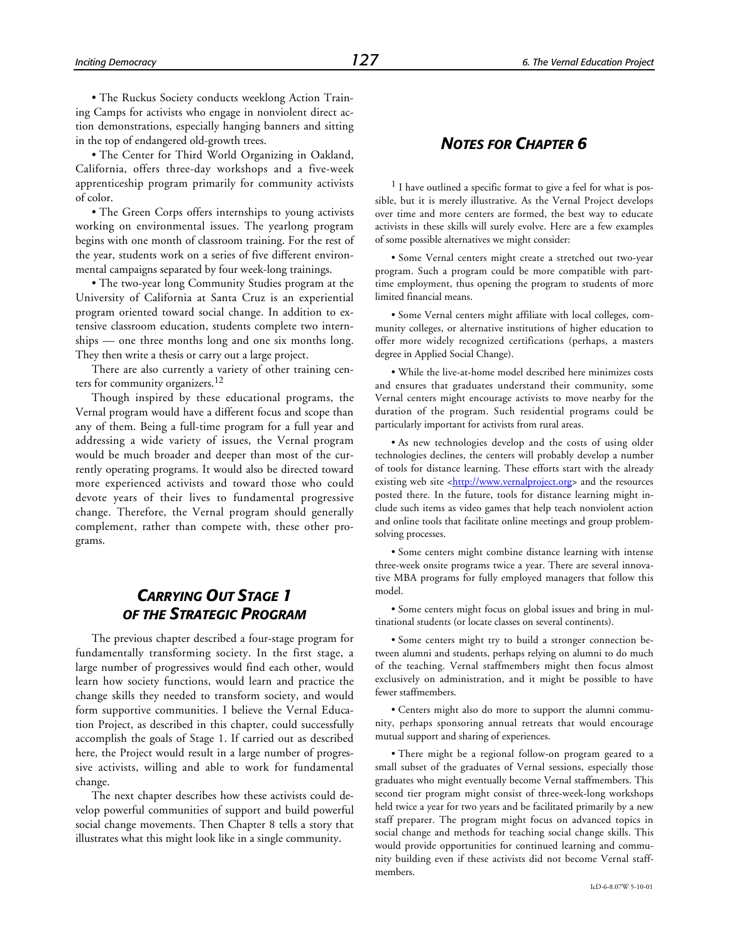• The Ruckus Society conducts weeklong Action Training Camps for activists who engage in nonviolent direct action demonstrations, especially hanging banners and sitting in the top of endangered old-growth trees.

• The Center for Third World Organizing in Oakland, California, offers three-day workshops and a five-week apprenticeship program primarily for community activists of color.

• The Green Corps offers internships to young activists working on environmental issues. The yearlong program begins with one month of classroom training. For the rest of the year, students work on a series of five different environmental campaigns separated by four week-long trainings.

• The two-year long Community Studies program at the University of California at Santa Cruz is an experiential program oriented toward social change. In addition to extensive classroom education, students complete two internships — one three months long and one six months long. They then write a thesis or carry out a large project.

There are also currently a variety of other training centers for community organizers.<sup>12</sup>

Though inspired by these educational programs, the Vernal program would have a different focus and scope than any of them. Being a full-time program for a full year and addressing a wide variety of issues, the Vernal program would be much broader and deeper than most of the currently operating programs. It would also be directed toward more experienced activists and toward those who could devote years of their lives to fundamental progressive change. Therefore, the Vernal program should generally complement, rather than compete with, these other programs.

## *CARRYING OUT STAGE 1 OF THE STRATEGIC PROGRAM*

The previous chapter described a four-stage program for fundamentally transforming society. In the first stage, a large number of progressives would find each other, would learn how society functions, would learn and practice the change skills they needed to transform society, and would form supportive communities. I believe the Vernal Education Project, as described in this chapter, could successfully accomplish the goals of Stage 1. If carried out as described here, the Project would result in a large number of progressive activists, willing and able to work for fundamental change.

The next chapter describes how these activists could develop powerful communities of support and build powerful social change movements. Then Chapter 8 tells a story that illustrates what this might look like in a single community.

## *NOTES FOR CHAPTER 6*

<sup>1</sup> I have outlined a specific format to give a feel for what is possible, but it is merely illustrative. As the Vernal Project develops over time and more centers are formed, the best way to educate activists in these skills will surely evolve. Here are a few examples of some possible alternatives we might consider:

• Some Vernal centers might create a stretched out two-year program. Such a program could be more compatible with parttime employment, thus opening the program to students of more limited financial means.

• Some Vernal centers might affiliate with local colleges, community colleges, or alternative institutions of higher education to offer more widely recognized certifications (perhaps, a masters degree in Applied Social Change).

• While the live-at-home model described here minimizes costs and ensures that graduates understand their community, some Vernal centers might encourage activists to move nearby for the duration of the program. Such residential programs could be particularly important for activists from rural areas.

• As new technologies develop and the costs of using older technologies declines, the centers will probably develop a number of tools for distance learning. These efforts start with the already existing web site [<http://www.vernalproject.org>](http://www.vernalproject.org) and the resources posted there. In the future, tools for distance learning might include such items as video games that help teach nonviolent action and online tools that facilitate online meetings and group problemsolving processes.

• Some centers might combine distance learning with intense three-week onsite programs twice a year. There are several innovative MBA programs for fully employed managers that follow this model.

• Some centers might focus on global issues and bring in multinational students (or locate classes on several continents).

• Some centers might try to build a stronger connection between alumni and students, perhaps relying on alumni to do much of the teaching. Vernal staffmembers might then focus almost exclusively on administration, and it might be possible to have fewer staffmembers.

• Centers might also do more to support the alumni community, perhaps sponsoring annual retreats that would encourage mutual support and sharing of experiences.

• There might be a regional follow-on program geared to a small subset of the graduates of Vernal sessions, especially those graduates who might eventually become Vernal staffmembers. This second tier program might consist of three-week-long workshops held twice a year for two years and be facilitated primarily by a new staff preparer. The program might focus on advanced topics in social change and methods for teaching social change skills. This would provide opportunities for continued learning and community building even if these activists did not become Vernal staffmembers.